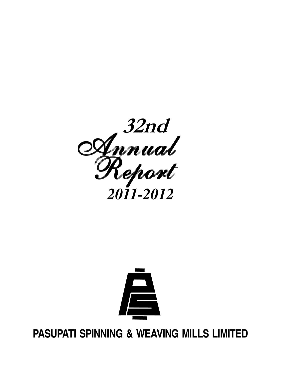



**PASUPATI SPINNING & WEAVING MILLS LIMITED**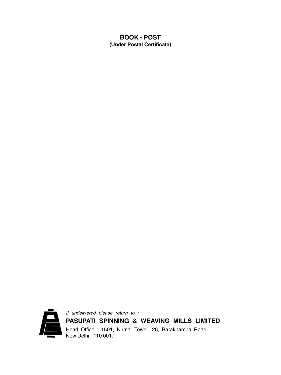## **BOOK - POST (Under Postal Certificate)**



If undelivered please return to : **PASUPATI SPINNING & WEAVING MILLS LIMITED** Head Office : 1501, Nirmal Tower, 26, Barakhamba Road, New Delhi - 110 001.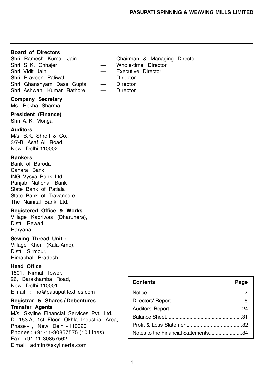## **Board of Directors**

Shri Ramesh Kumar Jain — Chairman & Managing Director Shri S. K. Chhajer – Whole-time Director Shri Vidit Jain — Executive Director Shri Praveen Paliwal — Director Shri Ghanshyam Dass Gupta — Director Shri Ashwani Kumar Rathore — Director

## **Company Secretary**

Ms. Rekha Sharma

#### **President (Finance)**

Shri A. K. Monga

#### **Auditors**

M/s. B.K. Shroff & Co., 3/7-B, Asaf Ali Road, New Delhi-110002.

#### **Bankers**

Bank of Baroda Canara Bank ING Vysya Bank Ltd. Punjab National Bank State Bank of Patiala State Bank of Travancore The Nainital Bank Ltd.

## **Registered Office & Works**

Village Kapriwas (Dharuhera), Distt. Rewari, Haryana.

#### **Sewing Thread Unit :**

Village Kheri (Kala-Amb), Distt. Sirmour, Himachal Pradesh.

## **Head Office**

1501, Nirmal Tower, 26, Barakhamba Road, New Delhi-110001. E'mail : ho@pasupatitextiles.com

### **Registrar & Shares / Debentures Transfer Agents**

M/s. Skyline Financial Services Pvt. Ltd. D - 153 A, 1st Floor, Okhla Industrial Area, Phase - I, New Delhi - 110020 Phones : +91-11-30857575 (10 Lines) Fax : +91-11-30857562 E'mail : admin@skylinerta.com

| <b>Contents</b>                     | Page |
|-------------------------------------|------|
|                                     |      |
|                                     |      |
|                                     |      |
|                                     |      |
|                                     |      |
| Notes to the Financial Statements34 |      |

- 
- 
-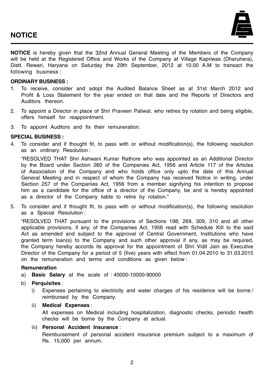

**NOTICE** is hereby given that the 32nd Annual General Meeting of the Members of the Company will be held at the Registered Office and Works of the Company at Village Kapriwas (Dharuhera), Distt. Rewari, Haryana on Saturday the 29th September, 2012 at 10.00 A.M to transact the following business :

#### **ORDINARY BUSINESS :**

- 1. To receive, consider and adopt the Audited Balance Sheet as at 31st March 2012 and Profit & Loss Statement for the year ended on that date and the Reports of Directors and Auditors thereon.
- 2. To appoint a Director in place of Shri Praveen Paliwal, who retires by rotation and being eligible, offers himself for reappointment.
- 3. To appoint Auditors and fix their remuneration.

#### **SPECIAL BUSINESS :**

4. To consider and if thought fit, to pass with or without modification(s), the following resolution as an ordinary Resolution :

"RESOLVED THAT Shri Ashwani Kumar Rathore who was appointed as an Additional Director by the Board under Section 260 of the Companies Act, 1956 and Article 117 of the Articles of Association of the Company and who holds office only upto the date of this Annual General Meeting and in respect of whom the Company has received Notice in writing, under Section 257 of the Companies Act, 1956 from a member signifying his intention to propose him as a candidate for the office of a director of the Company, be and is hereby appointed as a director of the Company liable to retire by rotation."

5. To consider and if thought fit, to pass with or without modification(s), the following resolution as a Special Resolution :

"RESOLVED THAT pursuant to the provisions of Sections 198, 269, 309, 310 and all other applicable provisions, if any, of the Companies Act, 1956 read with Schedule XIII to the said Act as amended and subject to the approval of Central Government, Institutions who have granted term loan(s) to the Company and such other approval if any, as may be required, the Company hereby accords its approval for the appointment of Shri Vidit Jain as Executive Director of the Company for a period of 5 (five) years with effect from 01.04.2010 to 31.03.2015 on the remuneration and terms and conditions as given below :

### **Remuneration**

- a) **Basic Salary** at the scale of : 40000-10000-90000
- b) **Perquisites** :
	- i) Expenses pertaining to electricity and water charges of his residence will be borne/ reimbursed by the Company.
	- ii) **Medical Expenses** :

All expenses on Medical including hospitalization, diagnostic checks, periodic health checks will be borne by the Company at actual.

iii) **Personal Accident Insurance** :

Reimbursement of personal accident insurance premium subject to a maximum of Rs. 15,000 per annum.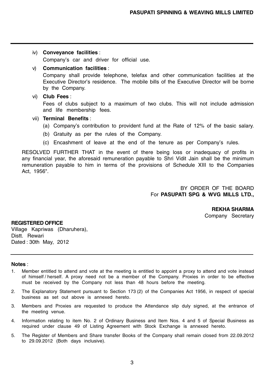#### iv) **Conveyance facilities** :

Company's car and driver for official use.

#### v) **Communication facilities** :

Company shall provide telephone, telefax and other communication facilities at the Executive Director's residence. The mobile bills of the Executive Director will be borne by the Company.

#### vi) **Club Fees** :

Fees of clubs subject to a maximum of two clubs. This will not include admission and life membership fees.

#### vii) **Terminal Benefits** :

- (a) Company's contribution to provident fund at the Rate of 12% of the basic salary.
- (b) Gratuity as per the rules of the Company.
- (c) Encashment of leave at the end of the tenure as per Company's rules.

RESOLVED FURTHER THAT in the event of there being loss or inadequacy of profits in any financial year, the aforesaid remuneration payable to Shri Vidit Jain shall be the minimum remuneration payable to him in terms of the provisions of Schedule XIII to the Companies Act, 1956".

> BY ORDER OF THE BOARD For **PASUPATI SPG & WVG MILLS LTD.,**

> > **REKHA SHARMA** Company Secretary

## **REGISTERED OFFICE** Village Kapriwas (Dharuhera),

Distt. Rewari Dated : 30th May, 2012

### **Notes** :

- 1. Member entitled to attend and vote at the meeting is entitled to appoint a proxy to attend and vote instead of himself / herself. A proxy need not be a member of the Company. Proxies in order to be effective must be received by the Company not less than 48 hours before the meeting.
- 2. The Explanatory Statement pursuant to Section 173 (2) of the Companies Act 1956, in respect of special business as set out above is annexed hereto.
- 3. Members and Proxies are requested to produce the Attendance slip duly signed, at the entrance of the meeting venue.
- 4. Information relating to item No. 2 of Ordinary Business and Item Nos. 4 and 5 of Special Business as required under clause 49 of Listing Agreement with Stock Exchange is annexed hereto.
- 5. The Register of Members and Share transfer Books of the Company shall remain closed from 22.09.2012 to 29.09.2012 (Both days inclusive).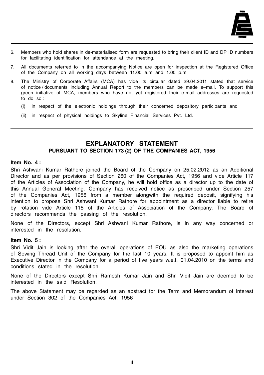

- 6. Members who hold shares in de-materialised form are requested to bring their client ID and DP ID numbers for facilitating identification for attendance at the meeting.
- 7. All documents referred to in the accompanying Notice are open for inspection at the Registered Office of the Company on all working days between 11.00 a.m and 1.00 p.m
- 8. The Ministry of Corporate Affairs (MCA) has vide its circular dated 29.04.2011 stated that service of notice / documents including Annual Report to the members can be made e–mail. To support this green initiative of MCA, members who have not yet registered their e-mail addresses are requested to do so :
	- (i) in respect of the electronic holdings through their concerned depository participants and
	- (ii) in respect of physical holdings to Skyline Financial Services Pvt. Ltd.

## **EXPLANATORY STATEMENT PURSUANT TO SECTION 173 (2) OF THE COMPANIES ACT, 1956**

#### **Item No. 4 :**

Shri Ashwani Kumar Rathore joined the Board of the Company on 25.02.2012 as an Additional Director and as per provisions of Section 260 of the Companies Act, 1956 and vide Article 117 of the Articles of Association of the Company, he will hold office as a director up to the date of this Annual General Meeting. Company has received notice as prescribed under Section 257 of the Companies Act, 1956 from a member alongwith the required deposit, signifying his intention to propose Shri Ashwani Kumar Rathore for appointment as a director liable to retire by rotation vide Article 115 of the Articles of Association of the Company. The Board of directors recommends the passing of the resolution.

None of the Directors, except Shri Ashwani Kumar Rathore, is in any way concerned or interested in the resolution.

#### **Item No. 5 :**

Shri Vidit Jain is looking after the overall operations of EOU as also the marketing operations of Sewing Thread Unit of the Company for the last 10 years. It is proposed to appoint him as Executive Director in the Company for a period of five years w.e.f. 01.04.2010 on the terms and conditions stated in the resolution.

None of the Directors except Shri Ramesh Kumar Jain and Shri Vidit Jain are deemed to be interested in the said Resolution.

The above Statement may be regarded as an abstract for the Term and Memorandum of interest under Section 302 of the Companies Act, 1956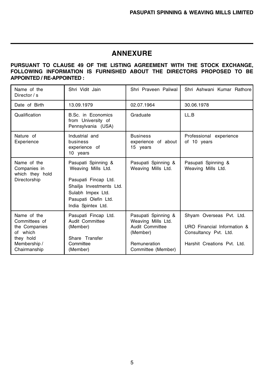# **ANNEXURE**

## **PURSUANT TO CLAUSE 49 OF THE LISTING AGREEMENT WITH THE STOCK EXCHANGE, FOLLOWING INFORMATION IS FURNISHED ABOUT THE DIRECTORS PROPOSED TO BE APPOINTED / RE-APPOINTED :**

| Name of the<br>Director / s                                                                            | Shri Vidit Jain                                                                                                                                                  | Shri Praveen Paliwal                                                                                           | Shri Ashwani Kumar Rathore                                                                                      |
|--------------------------------------------------------------------------------------------------------|------------------------------------------------------------------------------------------------------------------------------------------------------------------|----------------------------------------------------------------------------------------------------------------|-----------------------------------------------------------------------------------------------------------------|
| Date of Birth                                                                                          | 13.09.1979                                                                                                                                                       | 02.07.1964                                                                                                     | 30.06.1978                                                                                                      |
| Qualification                                                                                          | B.Sc. in Economics<br>from University of<br>Pennsylvania (USA)                                                                                                   | Graduate                                                                                                       | LL.B                                                                                                            |
| Nature of<br>Experience                                                                                | Industrial and<br>business<br>experience of<br>10 years                                                                                                          | <b>Business</b><br>experience of about<br>15 years                                                             | Professional experience<br>of 10 years                                                                          |
| Name of the<br>Companies in<br>which they hold<br>Directorship                                         | Pasupati Spinning &<br>Weaving Mills Ltd.<br>Pasupati Fincap Ltd.<br>Shailja Investments Ltd.<br>Sulabh Impex Ltd.<br>Pasupati Olefin Ltd.<br>India Spintex Ltd. | Pasupati Spinning &<br>Weaving Mills Ltd.                                                                      | Pasupati Spinning &<br>Weaving Mills Ltd.                                                                       |
| Name of the<br>Committees of<br>the Companies<br>of which<br>they hold<br>Membership /<br>Chairmanship | Pasupati Fincap Ltd.<br>Audit Committee<br>(Member)<br>Share Transfer<br>Committee<br>(Member)                                                                   | Pasupati Spinning &<br>Weaving Mills Ltd.<br>Audit Committee<br>(Member)<br>Remuneration<br>Committee (Member) | Shyam Overseas Pvt. Ltd.<br>URO Financial Information &<br>Consultancy Pvt. Ltd.<br>Harshit Creations Pyt. Ltd. |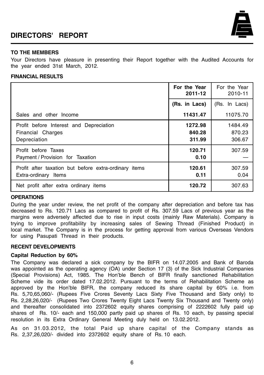# **DIRECTORS' REPORT**



#### **TO THE MEMBERS**

Your Directors have pleasure in presenting their Report together with the Audited Accounts for the year ended 31st March, 2012.

#### **FINANCIAL RESULTS**

|                                                                               | For the Year<br>2011-12     | For the Year<br>2010-11     |
|-------------------------------------------------------------------------------|-----------------------------|-----------------------------|
|                                                                               | (Rs. in Lacs)               | (Rs. In Lacs)               |
| Sales and other Income                                                        | 11431.47                    | 11075.70                    |
| Profit before Interest and Depreciation<br>Financial Charges<br>Depreciation  | 1272.98<br>840.28<br>311.99 | 1484.49<br>870.23<br>306.67 |
| Profit before Taxes<br>Payment / Provision for Taxation                       | 120.71<br>0.10              | 307.59                      |
| Profit after taxation but before extra-ordinary items<br>Extra-ordinary Items | 120.61<br>0.11              | 307.59<br>0.04              |
| Net profit after extra ordinary items                                         | 120.72                      | 307.63                      |

#### **OPERATIONS**

During the year under review, the net profit of the company after depreciation and before tax has decreased to Rs. 120.71 Lacs as compared to profit of Rs. 307.59 Lacs of previous year as the margins were adversely affected due to rise in input costs (mainly Raw Materials). Company is trying to improve profitability by increasing sales of Sewing Thread (Finished Product) in local market. The Company is in the process for getting approval from various Overseas Vendors for using Pasupati Thread in their products.

#### **RECENT DEVELOPMENTS**

#### **Capital Reduction by 60%**

The Company was declared a sick company by the BIFR on 14.07.2005 and Bank of Baroda was appointed as the operating agency (OA) under Section 17 (3) of the Sick Industrial Companies (Special Provisions) Act, 1985. The Hon'ble Bench of BIFR finally sanctioned Rehabilitation Scheme vide its order dated 17.02.2012. Pursuant to the terms of Rehabilitation Scheme as approved by the Hon'ble BIFR, the company reduced its share capital by 60% i.e. from Rs. 5,70,65,060/- (Rupees Five Crores Seventy Lacs Sixty Five Thousand and Sixty only) to Rs. 2,28,26,020/- (Rupees Two Crores Twenty Eight Lacs Twenty Six Thousand and Twenty only) and thereafter consolidated into 2372602 equity shares comprising of 2222602 fully paid up shares of Rs. 10/- each and 150,000 partly paid up shares of Rs. 10 each, by passing special resolution in its Extra Ordinary General Meeting duly held on 13.02.2012.

As on 31.03.2012, the total Paid up share capital of the Company stands as Rs. 2,37,26,020/- divided into 2372602 equity share of Rs. 10 each.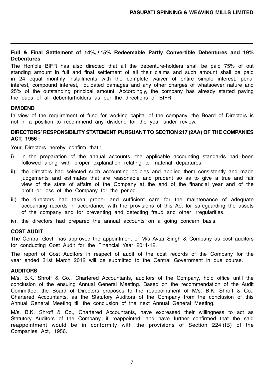### **Full & Final Settlement of 14%, / 15% Redeemable Partly Convertible Debentures and 19% Debentures**

The Hon'ble BIFR has also directed that all the debenture-holders shall be paid 75% of out standing amount in full and final settlement of all their claims and such amount shall be paid in 24 equal monthly installments with the complete waiver of entire simple interest, penal interest, compound interest, liquidated damages and any other charges of whatsoever nature and 25% of the outstanding principal amount. Accordingly, the company has already started paying the dues of all debenturholders as per the directions of BIFR.

## **DIVIDEND**

In view of the requirement of fund for working capital of the company, the Board of Directors is not in a position to recommend any dividend for the year under review.

### **DIRECTORS' RESPONSIBILITY STATEMENT PURSUANT TO SECTION 217 (2AA) OF THE COMPANIES ACT, 1956 :**

Your Directors hereby confirm that :

- i) in the preparation of the annual accounts, the applicable accounting standards had been followed along with proper explanation relating to material departures.
- ii) the directors had selected such accounting policies and applied them consistently and made judgements and estimates that are reasonable and prudent so as to give a true and fair view of the state of affairs of the Company at the end of the financial year and of the profit or loss of the Company for the period.
- iii) the directors had taken proper and sufficient care for the maintenance of adequate accounting records in accordance with the provisions of this Act for safeguarding the assets of the company and for preventing and detecting fraud and other irregularities.
- iv) the directors had prepared the annual accounts on a going concern basis.

### **COST AUDIT**

The Central Govt. has approved the appointment of M/s Avtar Singh & Company as cost auditors for conducting Cost Audit for the Financial Year 2011-12.

The report of Cost Auditors in respect of audit of the cost records of the Company for the year ended 31st March 2012 will be submitted to the Central Government in due course.

#### **AUDITORS**

M/s. B.K. Shroff & Co., Chartered Accountants, auditors of the Company, hold office until the conclusion of the ensuing Annual General Meeting. Based on the recommendation of the Audit Committee, the Board of Directors proposes to the reappointment of M/s. B.K. Shroff & Co., Chartered Accountants, as the Statutory Auditors of the Company from the conclusion of this Annual General Meeting till the conclusion of the next Annual General Meeting.

M/s. B.K. Shroff & Co., Chartered Accountants, have expressed their willingness to act as Statutory Auditors of the Company, if reappointed, and have further confirmed that the said reappointment would be in conformity with the provisions of Section 224 (IB) of the Companies Act, 1956.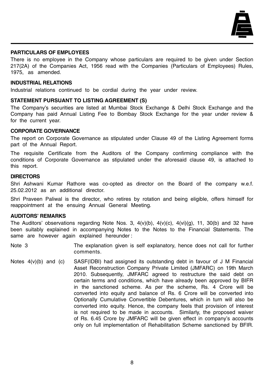

#### **PARTICULARS OF EMPLOYEES**

There is no employee in the Company whose particulars are required to be given under Section 217(2A) of the Companies Act, 1956 read with the Companies (Particulars of Employees) Rules, 1975, as amended.

#### **INDUSTRIAL RELATIONS**

Industrial relations continued to be cordial during the year under review.

#### **STATEMENT PURSUANT TO LISTING AGREEMENT (S)**

The Company's securities are listed at Mumbai Stock Exchange & Delhi Stock Exchange and the Company has paid Annual Listing Fee to Bombay Stock Exchange for the year under review & for the current year.

## **CORPORATE GOVERNANCE**

The report on Corporate Governance as stipulated under Clause 49 of the Listing Agreement forms part of the Annual Report.

The requisite Certificate from the Auditors of the Company confirming compliance with the conditions of Corporate Governance as stipulated under the aforesaid clause 49, is attached to this report.

#### **DIRECTORS**

Shri Ashwani Kumar Rathore was co-opted as director on the Board of the company w.e.f. 25.02.2012 as an additional director.

Shri Praveen Paliwal is the director, who retires by rotation and being eligible, offers himself for reappointment at the ensuing Annual General Meeting.

## **AUDITORS' REMARKS**

The Auditors' observations regarding Note Nos. 3,  $4(v)(b)$ ,  $4(v)(c)$ ,  $4(v)(g)$ , 11, 30(b) and 32 have been suitably explained in accompanying Notes to the Notes to the Financial Statements. The same are however again explained hereunder :

- Note 3 The explanation given is self explanatory, hence does not call for further comments.
- Notes  $4(v)(b)$  and (c) SASF(IDBI) had assigned its outstanding debt in favour of J M Financial Asset Reconstruction Company Private Limited (JMFARC) on 19th March 2010. Subsequently, JMFARC agreed to restructure the said debt on certain terms and conditions, which have already been approved by BIFR in the sanctioned scheme. As per the scheme, Rs. 4 Crore will be converted into equity and balance of Rs. 6 Crore will be converted into Optionally Cumulative Convertible Debentures, which in turn will also be converted into equity. Hence, the company feels that provision of interest is not required to be made in accounts. Similarly, the proposed waiver of Rs. 6.45 Crore by JMFARC will be given effect in company's accounts only on full implementation of Rehabilitation Scheme sanctioned by BFIR.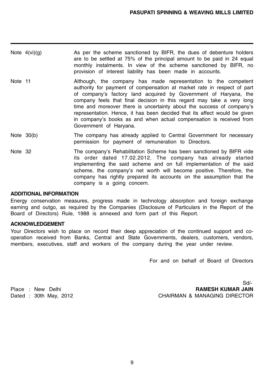| Note 4(vi)(g) | As per the scheme sanctioned by BIFR, the dues of debenture holders     |
|---------------|-------------------------------------------------------------------------|
|               | are to be settled at 75% of the principal amount to be paid in 24 equal |
|               | monthly instalments. In view of the scheme sanctioned by BIFR, no       |
|               | provision of interest liability has been made in accounts.              |

- Note 11 Although, the company has made representation to the competent authority for payment of compensation at market rate in respect of part of company's factory land acquired by Government of Haryana, the company feels that final decision in this regard may take a very long time and moreover there is uncertainty about the success of company's representation. Hence, it has been decided that its affect would be given in company's books as and when actual compensation is received from Government of Haryana.
- Note 30(b) The company has already applied to Central Government for necessary permission for payment of remuneration to Directors.
- Note 32 The company's Rehabilitation Scheme has been sanctioned by BIFR vide its order dated 17.02.2012. The company has already started implementing the said scheme and on full implementation of the said scheme, the company's net worth will become positive. Therefore, the company has rightly prepared its accounts on the assumption that the company is a going concern.

#### **ADDITIONAL INFORMATION**

Energy conservation measures, progress made in technology absorption and foreign exchange earning and outgo, as required by the Companies (Disclosure of Particulars in the Report of the Board of Directors) Rule, 1988 is annexed and form part of this Report.

#### **ACKNOWLEDGEMENT**

Your Directors wish to place on record their deep appreciation of the continued support and cooperation received from Banks, Central and State Governments, dealers, customers, vendors, members, executives, staff and workers of the company during the year under review.

For and on behalf of Board of Directors

Sd/- Place : New Delhi **RAMESH KUMAR JAIN** Dated : 30th May, 2012 CHAIRMAN & MANAGING DIRECTOR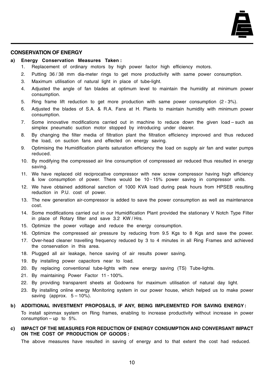

#### **CONSERVATION OF ENERGY**

#### **a) Energy Conservation Measures Taken :**

- 1. Replacement of ordinary motors by high power factor high efficiency motors.
- 2. Putting 36 / 38 mm dia-meter rings to get more productivity with same power consumption.
- 3. Maximum utilisation of natural light in place of tube-light.
- 4. Adjusted the angle of fan blades at optimum level to maintain the humidity at minimum power consumption.
- 5. Ring frame lift reduction to get more production with same power consumption (2 3%).
- 6. Adjusted the blades of S.A. & R.A. Fans at H. Plants to maintain humidity with minimum power consumption.
- 7. Some innovative modifications carried out in machine to reduce down the given load such as simplex pneumatic suction motor stopped by introducing under clearer.
- 8. By changing the filter media of filtration plant the filtration efficiency improved and thus reduced the load, on suction fans and effected on energy saving.
- 9. Optimising the Humidification plants saturation efficiency the load on supply air fan and water pumps reduced.
- 10. By modifying the compressed air line consumption of compressed air reduced thus resulted in energy saving.
- 11. We have replaced old reciprocative compressor with new screw compressor having high efficiency & low consumption of power. There would be 10 - 15% power saving in compressor units.
- 12. We have obtained additional sanction of 1000 KVA load during peak hours from HPSEB resulting reduction in P.U. cost of power.
- 13. The new generation air-compressor is added to save the power consumption as well as maintenance cost.
- 14. Some modifications carried out in our Humidification Plant provided the stationary V Notch Type Filter in place of Rotary filter and save 3.2 KW / Hrs.
- 15. Optimize the power voltage and reduce the energy consumption.
- 16. Optimize the compressed air pressure by reducing from 9.5 Kgs to 8 Kgs and save the power.
- 17. Over-head cleaner travelling frequency reduced by 3 to 4 minutes in all Ring Frames and achieved the conservation in this area.
- 18. Plugged all air leakage, hence saving of air results power saving.
- 19. By installing power capacitors near to load.
- 20. By replacing conventional tube-lights with new energy saving (TS) Tube-lights.
- 21. By maintaining Power Factor 11 100%.
- 22. By providing transparent sheets at Godowns for maximum utilisation of natural day light.
- 23. By installing online energy Monitoring system in our power house, which helped us to make power saving (approx.  $5 - 10%$ ).

#### **b) ADDITIONAL INVESTMENT PROPOSALS, IF ANY, BEING IMPLEMENTED FOR SAVING ENERGY :**

To install spinmax system on Ring frames, enabling to increase productivity without increase in power consumption – up to  $5\%$ .

### **c) IMPACT OF THE MEASURES FOR REDUCTION OF ENERGY CONSUMPTION AND CONVERSANT IMPACT ON THE COST OF PRODUCTION OF GOODS :**

The above measures have resulted in saving of energy and to that extent the cost had reduced.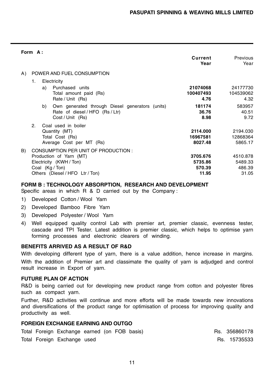|    | Form A: |    |                                                                                                        |                                 |                                 |
|----|---------|----|--------------------------------------------------------------------------------------------------------|---------------------------------|---------------------------------|
|    |         |    |                                                                                                        | Current<br>Year                 | Previous<br>Year                |
| A) |         |    | POWER AND FUEL CONSUMPTION                                                                             |                                 |                                 |
|    | 1.      |    | Electricity                                                                                            |                                 |                                 |
|    |         | a) | Purchased units<br>Total amount paid (Rs)<br>Rate / Unit (Rs)                                          | 21074068<br>100407493<br>4.76   | 24177730<br>104539062<br>4.32   |
|    |         | b) | Own generated through Diesel generators (units)<br>Rate of diesel / HFO (Rs / Ltr)<br>Cost / Unit (Rs) | 181174<br>36.76<br>8.98         | 583957<br>40.51<br>9.72         |
|    | 2.      |    | Coal used in boiler<br>Quantity (MT)<br>Total Cost (Rs)<br>Average Cost per MT (Rs)                    | 2114.000<br>16967581<br>8027.48 | 2194.030<br>12868364<br>5865.17 |
| B) |         |    | CONSUMPTION PER UNIT OF PRODUCTION :<br>Production of Yarn (MT)                                        | 3705.676                        | 4510.878                        |
|    |         |    | Electricity (KWH / Ton)<br>Coal (Kg / Ton)                                                             | 5735.86<br>570.39               | 5489.33<br>486.39               |
|    |         |    | Others (Diesel / HFO Ltr / Ton)                                                                        | 11.95                           | 31.05                           |

## **FORM B : TECHNOLOGY ABSORPTION, RESEARCH AND DEVELOPMENT**

Specific areas in which R & D carried out by the Company :

- 1) Developed Cotton / Wool Yarn
- 2) Developed Bamboo Fibre Yarn
- 3) Developed Polyester / Wool Yarn
- 4) Well equipped quality control Lab with premier art, premier classic, evenness tester, cascade and TPI Tester. Latest addition is premier classic, which helps to optimise yarn forming processes and electronic clearers of winding.

## **BENEFITS ARRIVED AS A RESULT OF R&D**

With developing different type of yarn, there is a value addition, hence increase in margins. With the addition of Premier art and classimate the quality of yarn is adjudged and control result increase in Export of yarn.

#### **FUTURE PLAN OF ACTION**

R&D is being carried out for developing new product range from cotton and polyester fibres such as compact yarn.

Further, R&D activities will continue and more efforts will be made towards new innovations and diversifications of the product range for optimisation of process for improving quality and productivity as well.

## **FOREIGN EXCHANGE EARNING AND OUTGO**

Total Foreign Exchange earned (on FOB basis) Total Rs. 356860178

Total Foreign Exchange used **Research Exchange and Rs. 15735533**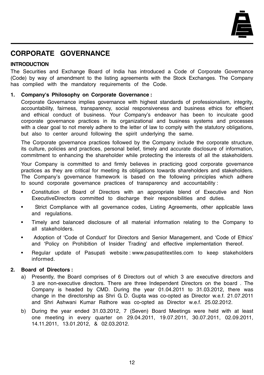

# **CORPORATE GOVERNANCE**

## **INTRODUCTION**

The Securities and Exchange Board of India has introduced a Code of Corporate Governance (Code) by way of amendment to the listing agreements with the Stock Exchanges. The Company has complied with the mandatory requirements of the Code.

## **1. Company's Philosophy on Corporate Governance :**

Corporate Governance implies governance with highest standards of professionalism, integrity, accountability, fairness, transparency, social responsiveness and business ethics for efficient and ethical conduct of business. Your Company's endeavor has been to inculcate good corporate governance practices in its organizational and business systems and processes with a clear goal to not merely adhere to the letter of law to comply with the statutory obligations, but also to center around following the spirit underlying the same.

The Corporate governance practices followed by the Company include the corporate structure, its culture, policies and practices, personal belief, timely and accurate disclosure of information, commitment to enhancing the shareholder while protecting the interests of all the stakeholders.

Your Company is committed to and firmly believes in practicing good corporate governance practices as they are critical for meeting its obligations towards shareholders and stakeholders. The Company's governance framework is based on the following principles which adhere to sound corporate governance practices of transparency and accountability :

- Constitution of Board of Directors with an appropriate blend of Executive and Non ExecutiveDirectors committed to discharge their responsibilities and duties.
- Strict Compliance with all governance codes, Listing Agreements, other applicable laws and regulations.
- Timely and balanced disclosure of all material information relating to the Company to all stakeholders.
- Adoption of 'Code of Conduct' for Directors and Senior Management, and 'Code of Ethics' and 'Policy on Prohibition of Insider Trading' and effective implementation thereof.
- Regular update of Pasupati website : www.pasupatitextiles.com to keep stakeholders informed.

## **2. Board of Directors :**

- a) Presently, the Board comprises of 6 Directors out of which 3 are executive directors and 3 are non-executive directors. There are three Independent Directors on the board . The Company is headed by CMD. During the year 01.04.2011 to 31.03.2012, there was change in the directorship as Shri G. D. Gupta was co-opted as Director w.e.f. 21.07.2011 and Shri Ashwani Kumar Rathore was co-opted as Director w.e.f. 25.02.2012.
- b) During the year ended 31.03.2012, 7 (Seven) Board Meetings were held with at least one meeting in every quarter on 29.04.2011, 19.07.2011, 30.07.2011, 02.09.2011, 14.11.2011, 13.01.2012, & 02.03.2012.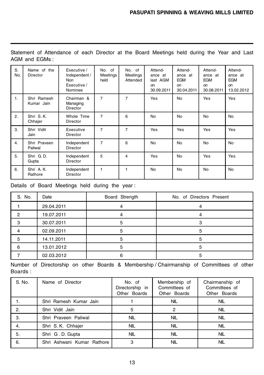Statement of Attendance of each Director at the Board Meetings held during the Year and Last AGM and EGMs :

| S.<br>No. | Name of the<br>Director   | Executive /<br>Independent /<br><b>Non</b><br>Executive /<br>Nominee | No. of<br>Meetings<br>held | No. of<br>Meetings<br>Attended | Attend-<br>ance at<br>last AGM<br>on<br>30.09.2011 | Attend-<br>ance<br>at<br><b>EGM</b><br>on<br>30.04.2011 | Attend-<br>ance at<br><b>EGM</b><br>on<br>30.08.2011 | Attend-<br>ance at<br><b>EGM</b><br>on<br>13.02.2012 |
|-----------|---------------------------|----------------------------------------------------------------------|----------------------------|--------------------------------|----------------------------------------------------|---------------------------------------------------------|------------------------------------------------------|------------------------------------------------------|
| 1.        | Shri Ramesh<br>Kumar Jain | Chairman &<br>Managing<br><b>Director</b>                            | $\overline{7}$             | $\overline{7}$                 | Yes                                                | No                                                      | Yes                                                  | Yes                                                  |
| 2.        | Shri S.K.<br>Chhajer      | Whole Time<br>Director                                               | 7                          | 6                              | No                                                 | No                                                      | No                                                   | No                                                   |
| 3.        | Shri Vidit<br>Jain        | Executive<br><b>Director</b>                                         | $\overline{7}$             | $\overline{7}$                 | Yes                                                | Yes                                                     | Yes                                                  | Yes                                                  |
| 4.        | Shri Praveen<br>Paliwal   | Independent<br>Director                                              | 7                          | 6                              | <b>No</b>                                          | <b>No</b>                                               | <b>No</b>                                            | <b>No</b>                                            |
| 5.        | Shri G.D.<br>Gupta        | Independent<br>Director                                              | 5                          | 4                              | Yes                                                | No                                                      | Yes                                                  | Yes                                                  |
| 6.        | Shri A.K.<br>Rathore      | Independent<br><b>Director</b>                                       | 1                          | 1                              | No                                                 | No                                                      | No                                                   | <b>No</b>                                            |

Details of Board Meetings held during the year :

| S. No. | Date       | Board Strength | No. of Directors Present |
|--------|------------|----------------|--------------------------|
|        | 29.04.2011 |                |                          |
| 2      | 19.07.2011 |                |                          |
|        | 30.07.2011 |                |                          |
|        | 02.09.2011 |                |                          |
|        | 14.11.2011 |                |                          |
|        | 13.01.2012 |                |                          |
|        | 02.03.2012 |                |                          |

Number of Directorship on other Boards & Membership / Chairmanship of Committees of other Boards :

| S. No. | Name of Director           | No. of<br>Directorship in<br>Other Boards | Membership of<br>Committees of<br>Other Boards | Chairmanship of<br>Committees of<br>Other Boards |
|--------|----------------------------|-------------------------------------------|------------------------------------------------|--------------------------------------------------|
|        | Shri Ramesh Kumar Jain     |                                           | <b>NIL</b>                                     | <b>NIL</b>                                       |
| 2.     | Shri Vidit Jain            | 5                                         | 2                                              | <b>NIL</b>                                       |
| 3.     | Shri Praveen Paliwal       | <b>NIL</b>                                | <b>NIL</b>                                     | <b>NIL</b>                                       |
| 4.     | Shri S.K. Chhajer          | <b>NIL</b>                                | <b>NIL</b>                                     | <b>NIL</b>                                       |
| 5.     | Shri G.D. Gupta            | <b>NIL</b>                                | <b>NIL</b>                                     | <b>NIL</b>                                       |
| 6.     | Shri Ashwani Kumar Rathore | 3                                         | <b>NIL</b>                                     | <b>NIL</b>                                       |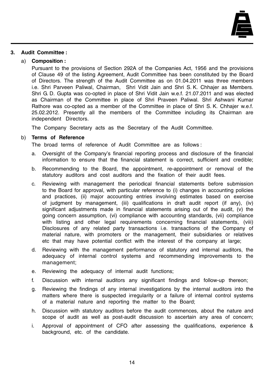

#### **3. Audit Committee :**

#### a) **Composition :**

Pursuant to the provisions of Section 292A of the Companies Act, 1956 and the provisions of Clause 49 of the listing Agreement, Audit Committee has been constituted by the Board of Directors. The strength of the Audit Committee as on 01.04.2011 was three members i.e. Shri Parveen Paliwal, Chairman, Shri Vidit Jain and Shri S. K. Chhajer as Members. Shri G. D. Gupta was co-opted in place of Shri Vidit Jain w.e.f. 21.07.2011 and was elected as Chairman of the Committee in place of Shri Praveen Paliwal. Shri Ashwani Kumar Rathore was co-opted as a member of the Committee in place of Shri S. K. Chhajer w.e.f. 25.02.2012. Presently all the members of the Committee including its Chairman are independent Directors.

The Company Secretary acts as the Secretary of the Audit Committee.

#### b) **Terms of Reference**

The broad terms of reference of Audit Committee are as follows :

- a. Oversight of the Company's financial reporting process and disclosure of the financial information to ensure that the financial statement is correct, sufficient and credible;
- b. Recommending to the Board, the appointment, re-appointment or removal of the statutory auditors and cost auditors and the fixation of their audit fees.
- c. Reviewing with management the periodical financial statements before submission to the Board for approval, with particular reference to (i) changes in accounting policies and practices, (ii) major accounting entries involving estimates based on exercise of judgment by management, (iii) qualifications in draft audit report (if any), (iv) significant adjustments made in financial statements arising out of the audit, (v) the going concern assumption, (vi) compliance with accounting standards, (vii) compliance with listing and other legal requirements concerning financial statements, (viii) Disclosures of any related party transactions i.e. transactions of the Company of material nature, with promoters or the management, their subsidiaries or relatives etc that may have potential conflict with the interest of the company at large;
- d. Reviewing with the management performance of statutory and internal auditors, the adequacy of internal control systems and recommending improvements to the management;
- e. Reviewing the adequacy of internal audit functions;
- f. Discussion with internal auditors any significant findings and follow-up thereon;
- g. Reviewing the findings of any internal investigations by the internal auditors into the matters where there is suspected irregularity or a failure of internal control systems of a material nature and reporting the matter to the Board;
- h. Discussion with statutory auditors before the audit commences, about the nature and scope of audit as well as post-audit discussion to ascertain any area of concern;
- i. Approval of appointment of CFO after assessing the qualifications, experience & background, etc. of the candidate.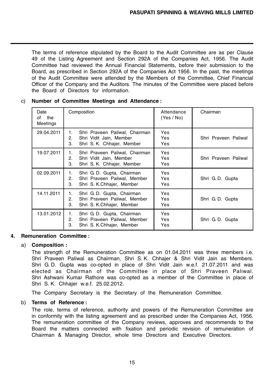The terms of reference stipulated by the Board to the Audit Committee are as per Clause 49 of the Listing Agreement and Section 292A of the Companies Act, 1956. The Audit Committee had reviewed the Annual Financial Statements, before their submission to the Board, as prescribed in Section 292A of the Companies Act 1956. In the past, the meetings of the Audit Committee were attended by the Members of the Committee, Chief Financial Officer of the Company and the Auditors. The minutes of the Committee were placed before the Board of Directors for information.

| Date<br>the<br>of<br>Meetings | Composition                                                                                               | Attendance<br>(Yes / No) | Chairman             |
|-------------------------------|-----------------------------------------------------------------------------------------------------------|--------------------------|----------------------|
| 29.04.2011                    | 1.<br>Shri Praveen Paliwal, Chairman<br>2.<br>Shri Vidit Jain, Member<br>3.<br>Shri S. K. Chhajer, Member | Yes<br>Yes<br>Yes        | Shri Praveen Paliwal |
| 19.07.2011                    | Shri Praveen Paliwal, Chairman<br>1.<br>2.<br>Shri Vidit Jain, Member<br>З.<br>Shri S. K. Chhajer, Member | Yes<br>Yes<br>Yes        | Shri Praveen Paliwal |
| 02.09.2011                    | Shri G. D. Gupta, Chairman<br>1.<br>Shri Praveen Paliwal, Member<br>2.<br>З.<br>Shri S. K.Chhajer, Member | Yes<br>Yes<br>Yes        | Shri G.D. Gupta      |
| 14.11.2011                    | Shri G. D. Gupta, Chairman<br>1.<br>Shri Praveen Paliwal, Member<br>2.<br>З.<br>Shri S. K.Chhajer, Member | Yes<br>Yes<br>Yes        | Shri G.D. Gupta      |
| 13.01.2012                    | Shri G. D. Gupta, Chairman<br>1.<br>Shri Praveen Paliwal, Member<br>2.<br>З.<br>Shri S. K.Chhajer, Member | <b>Yes</b><br>Yes<br>Yes | Shri G.D. Gupta      |

c) **Number of Committee Meetings and Attendance :**

## **4. Remuneration Committee :**

## a) **Composition :**

The strength of the Remuneration Committee as on 01.04.2011 was three members i.e. Shri Praveen Paliwal as Chairman, Shri S. K. Chhajer & Shri Vidit Jain as Members. Shri G. D. Gupta was co-opted in place of Shri Vidit Jain w.e.f. 21.07.2011 and was elected as Chairman of the Committee in place of Shri Praveen Paliwal. Shri Ashwani Kumar Rathore was co-opted as a member of the Committee in place of Shri S. K. Chhajer w.e.f. 25.02.2012.

The Company Secretary is the Secretary of the Remuneration Committee.

#### b) **Terms of Reference :**

The role, terms of reference, authority and powers of the Remuneration Committee are in conformity with the listing agreement and as prescribed under the Companies Act, 1956. The remuneration committee of the Company reviews, approves and recommends to the Board the matters connected with fixation and periodic revision of remuneration of Chairman & Managing Director, whole time Directors and Executive Directors.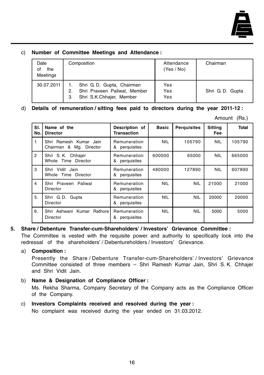

## c) **Number of Committee Meetings and Attendance :**

| Date<br>of<br>the<br>Meetings | Composition                                                                                  | Attendance<br>(Yes / No) | Chairman        |
|-------------------------------|----------------------------------------------------------------------------------------------|--------------------------|-----------------|
| 30.07.2011                    | Shri G. D. Gupta, Chairman<br>Shri Praveen Paliwal, Member<br>Shri S.K.Chhajer, Member<br>3. | Yes<br>Yes<br>Yes        | Shri G.D. Gupta |

d) **Details of remuneration / sitting fees paid to directors during the year 2011-12 :**

| Amount | (Rs.) |
|--------|-------|
|--------|-------|

| SI.<br>No.     | Name of the<br><b>Director</b>                    | Description of<br><b>Transaction</b> | <b>Basic</b> | <b>Perquisites</b> | <b>Sitting</b><br>Fee | <b>Total</b> |
|----------------|---------------------------------------------------|--------------------------------------|--------------|--------------------|-----------------------|--------------|
| 1              | Shri Ramesh Kumar Jain<br>Chairman & Mg. Director | Remuneration<br>perquisites<br>&     | <b>NIL</b>   | 105790             | <b>NIL</b>            | 105790       |
| $\overline{2}$ | Shri S.K. Chhajer<br>Whole Time Director          | Remuneration<br>perquisites<br>&     | 600000       | 65000              | <b>NIL</b>            | 665000       |
| 3              | Shri Vidit Jain<br>Whole Time Director            | Remuneration<br>perquisites<br>&     | 480000       | 127890             | <b>NIL</b>            | 607890       |
| $\overline{4}$ | Shri Praveen Paliwal<br>Director                  | Remuneration<br>perquisites<br>&     | <b>NIL</b>   | <b>NIL</b>         | 21000                 | 21000        |
| 5.             | Shri G.D. Gupta<br>Director                       | Remuneration<br>perquisites<br>&     | <b>NIL</b>   | <b>NIL</b>         | 20000                 | 20000        |
| 6.             | Shri Ashwani Kumar<br>Rathore<br>Director         | Remuneration<br>&<br>perquisites     | <b>NIL</b>   | <b>NIL</b>         | 5000                  | 5000         |

## **5. Share / Debenture Transfer-cum-Shareholders' / Investors' Grievance Committee :**

The Committee is vested with the requisite power and authority to specifically look into the redressal of the shareholders' / Debentureholders / Investors' Grievance.

## a) **Composition :**

Presently the Share / Debenture Transfer-cum-Shareholders' / Investors' Grievance Committee consisted of three members – Shri Ramesh Kumar Jain, Shri S. K. Chhajer and Shri Vidit Jain.

## b) **Name & Designation of Compliance Officer :**

Ms. Rekha Sharma, Company Secretary of the Company acts as the Compliance Officer of the Company.

## c) **Investors Complaints received and resolved during the year :**

No complaint was received during the year ended on 31.03.2012.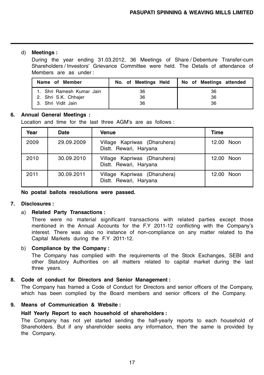## d) **Meetings :**

During the year ending 31.03.2012, 36 Meetings of Share / Debenture Transfer-cum Shareholders / Investors' Grievance Committee were held. The Details of attendance of Members are as under :

| Name of Member            | No. of Meetings Held | No of Meetings attended |
|---------------------------|----------------------|-------------------------|
| 1. Shri Ramesh Kumar Jain | 36                   | 36                      |
| 2. Shri S.K. Chhajer      | 36                   | 36                      |
| 3. Shri Vidit Jain        | 36                   | 36                      |

## **6. Annual General Meetings :**

Location and time for the last three AGM's are as follows :

| Year | <b>Date</b> | <b>Venue</b>                                           | <b>Time</b> |
|------|-------------|--------------------------------------------------------|-------------|
| 2009 | 29.09.2009  | Village Kapriwas (Dharuhera)<br>Distt. Rewari, Haryana | 12.00 Noon  |
| 2010 | 30.09.2010  | Village Kapriwas (Dharuhera)<br>Distt. Rewari, Haryana | 12.00 Noon  |
| 2011 | 30.09.2011  | Village Kapriwas (Dharuhera)<br>Distt. Rewari, Haryana | 12.00 Noon  |

**No postal ballots resolutions were passed.**

## **7. Disclosures :**

## a) **Related Party Transactions :**

There were no material significant transactions with related parties except those mentioned in the Annual Accounts for the F.Y 2011-12 conflicting with the Company's interest. There was also no instance of non-compliance on any matter related to the Capital Markets during the F.Y 2011-12.

## b) **Compliance by the Company :**

The Company has complied with the requirements of the Stock Exchanges, SEBI and other Statutory Authorities on all matters related to capital market during the last three years.

## **8. Code of conduct for Directors and Senior Management :**

The Company has framed a Code of Conduct for Directors and senior officers of the Company, which has been complied by the Board members and senior officers of the Company.

## **9. Means of Communication & Website :**

## **Half Yearly Report to each household of shareholders :**

The Company has not yet started sending the half-yearly reports to each household of Shareholders. But if any shareholder seeks any information, then the same is provided by the Company.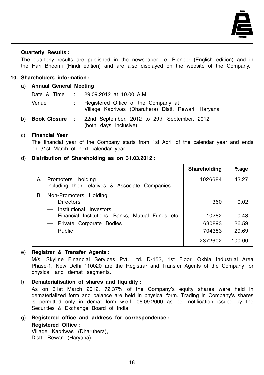

#### **Quarterly Results :**

The quarterly results are published in the newspaper i.e. Pioneer (English edition) and in the Hari Bhoomi (Hindi edition) and are also displayed on the website of the Company.

#### **10. Shareholders information :**

#### a) **Annual General Meeting**

| Date & Time            |                           | $\therefore$ 29.09.2012 at 10.00 A.M.                                                      |
|------------------------|---------------------------|--------------------------------------------------------------------------------------------|
| Venue                  |                           | Registered Office of the Company at<br>Village Kapriwas (Dharuhera) Distt. Rewari, Haryana |
| b) <b>Book Closure</b> | $\mathbf{z} = \mathbf{z}$ | 22nd September, 2012 to 29th September, 2012<br>(both days inclusive)                      |

## c) **Financial Year**

The financial year of the Company starts from 1st April of the calendar year and ends on 31st March of next calendar year.

#### d) **Distribution of Shareholding as on 31.03.2012 :**

|    |                                                                                             | Shareholding | $%$ age |
|----|---------------------------------------------------------------------------------------------|--------------|---------|
| A  | Promoters' holding<br>including their relatives & Associate Companies                       | 1026684      | 43.27   |
| В. | Non-Promoters Holding<br>- Directors<br>Institutional Investors<br>$\overline{\phantom{0}}$ | 360          | 0.02    |
|    | Financial Institutions, Banks, Mutual Funds etc.                                            | 10282        | 0.43    |
|    | - Private Corporate Bodies                                                                  | 630893       | 26.59   |
|    | — Public                                                                                    | 704383       | 29.69   |
|    |                                                                                             | 2372602      | 100.00  |

#### e) **Registrar & Transfer Agents :**

M/s. Skyline Financial Services Pvt. Ltd. D-153, 1st Floor, Okhla Industrial Area Phase-1, New Delhi 110020 are the Registrar and Transfer Agents of the Company for physical and demat segments.

- f) **Dematerialisation of shares and liquidity :** As on 31st March 2012, 72.37% of the Company's equity shares were held in dematerialized form and balance are held in physical form. Trading in Company's shares is permitted only in demat form w.e.f. 06.09.2000 as per notification issued by the Securities & Exchange Board of India.
- g) **Registered office and address for correspondence : Registered Office :** Village Kapriwas (Dharuhera),

Distt. Rewari (Haryana)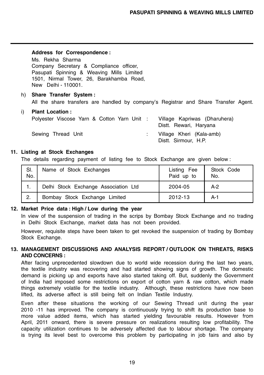Distt. Sirmour, H.P.

#### **Address for Correspondence :**

Ms. Rekha Sharma Company Secretary & Compliance officer, Pasupati Spinning & Weaving Mills Limited 1501, Nirmal Tower, 26, Barakhamba Road, New Delhi - 110001.

h) **Share Transfer System :** All the share transfers are handled by company's Registrar and Share Transfer Agent.

## i) **Plant Location :** Polyester Viscose Yarn & Cotton Yarn Unit : Village Kapriwas (Dharuhera) Distt. Rewari, Haryana Sewing Thread Unit **Seminal Englisherian**: Village Kheri (Kala-amb)

#### **11. Listing at Stock Exchanges**

The details regarding payment of listing fee to Stock Exchange are given below :

| SI.<br>No. | Name of Stock Exchanges              | Listing Fee<br>Paid up to | Stock Code<br>No. |
|------------|--------------------------------------|---------------------------|-------------------|
| 1.         | Delhi Stock Exchange Association Ltd | 2004-05                   | $A-2$             |
| 2.         | Bombay Stock Exchange Limited        | 2012-13                   | A-1               |

## **12. Market Price data : High / Low during the year**

In view of the suspension of trading in the scrips by Bombay Stock Exchange and no trading in Delhi Stock Exchange, market data has not been provided.

However, requisite steps have been taken to get revoked the suspension of trading by Bombay Stock Exchange.

## **13. MANAGEMENT DISCUSSIONS AND ANALYSIS REPORT / OUTLOOK ON THREATS, RISKS AND CONCERNS :**

After facing unprecedented slowdown due to world wide recession during the last two years, the textile industry was recovering and had started showing signs of growth. The domestic demand is picking up and exports have also started taking off. But, suddenly the Government of India had imposed some restrictions on export of cotton yarn & raw cotton, which made things extremely volatile for the textile industry. Although, these restrictions have now been lifted, its adverse affect is still being felt on Indian Textile Industry.

Even after these situations the working of our Sewing Thread unit during the year 2010 -11 has improved. The company is continuously trying to shift its production base to more value added items, which has started yielding favourable results. However from April, 2011 onward, there is severe pressure on realizations resulting low profitability. The capacity utilization continues to be adversely affected due to labour shortage. The company is trying its level best to overcome this problem by participating in job fairs and also by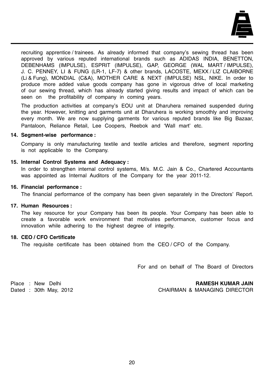

recruiting apprentice / trainees. As already informed that company's sewing thread has been approved by various reputed international brands such as ADIDAS INDIA, BENETTON, DEBENHAMS (IMPULSE), ESPRIT (IMPULSE), GAP, GEORGE (WAL MART / IMPULSE), J. C. PENNEY, LI & FUNG (LR-1, LF-7) & other brands, LACOSTE, MEXX / LIZ CLAIBORNE (Li & Fung), MONDIAL (C&A), MOTHER CARE & NEXT (IMPULSE) NSL, NIKE. In order to produce more added value goods company has gone in vigorous drive of local marketing of our sewing thread, which has already started giving results and impact of which can be seen on the profitability of company in coming years.

The production activities at company's EOU unit at Dharuhera remained suspended during the year. However, knitting and garments unit at Dharuhera is working smoothly and improving every month. We are now supplying garments for various reputed brands like Big Bazaar, Pantaloon, Reliance Retail, Lee Coopers, Reebok and 'Wall mart' etc.

#### **14. Segment-wise performance :**

Company is only manufacturing textile and textile articles and therefore, segment reporting is not applicable to the Company.

#### **15. Internal Control Systems and Adequacy :**

In order to strengthen internal control systems, M/s. M.C. Jain & Co., Chartered Accountants was appointed as Internal Auditors of the Company for the year 2011-12.

#### **16. Financial performance :**

The financial performance of the company has been given separately in the Directors' Report.

## **17. Human Resources :**

The key resource for your Company has been its people. Your Company has been able to create a favorable work environment that motivates performance, customer focus and innovation while adhering to the highest degree of integrity.

## **18. CEO / CFO Certificate**

The requisite certificate has been obtained from the CEO / CFO of the Company.

For and on behalf of The Board of Directors

Place : New Delhi **RAMESH KUMAR JAIN**

Dated : 30th May, 2012 CHAIRMAN & MANAGING DIRECTOR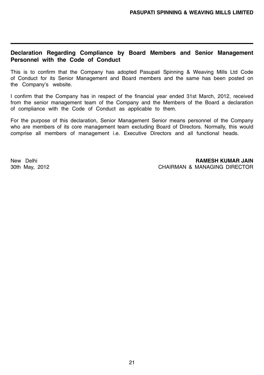## **Declaration Regarding Compliance by Board Members and Senior Management Personnel with the Code of Conduct**

This is to confirm that the Company has adopted Pasupati Spinning & Weaving Mills Ltd Code of Conduct for its Senior Management and Board members and the same has been posted on the Company's website.

I confirm that the Company has in respect of the financial year ended 31st March, 2012, received from the senior management team of the Company and the Members of the Board a declaration of compliance with the Code of Conduct as applicable to them.

For the purpose of this declaration, Senior Management Senior means personnel of the Company who are members of its core management team excluding Board of Directors. Normally, this would comprise all members of management i.e. Executive Directors and all functional heads.

New Delhi **RAMESH KUMAR JAIN** 30th May, 2012 CHAIRMAN & MANAGING DIRECTOR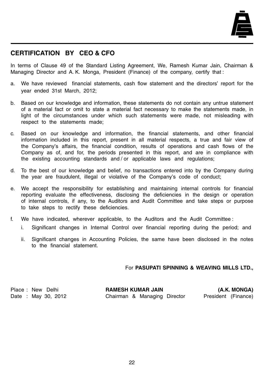

## **CERTIFICATION BY CEO & CFO**

In terms of Clause 49 of the Standard Listing Agreement, We, Ramesh Kumar Jain, Chairman & Managing Director and A. K. Monga, President (Finance) of the company, certify that :

- a. We have reviewed financial statements, cash flow statement and the directors' report for the year ended 31st March, 2012;
- b. Based on our knowledge and information, these statements do not contain any untrue statement of a material fact or omit to state a material fact necessary to make the statements made, in light of the circumstances under which such statements were made, not misleading with respect to the statements made;
- c. Based on our knowledge and information, the financial statements, and other financial information included in this report, present in all material respects, a true and fair view of the Company's affairs, the financial condition, results of operations and cash flows of the Company as of, and for, the periods presented in this report, and are in compliance with the existing accounting standards and / or applicable laws and regulations;
- d. To the best of our knowledge and belief, no transactions entered into by the Company during the year are fraudulent, illegal or violative of the Company's code of conduct;
- e. We accept the responsibility for establishing and maintaining internal controls for financial reporting evaluate the effectiveness, disclosing the deficiencies in the design or operation of internal controls, if any, to the Auditors and Audit Committee and take steps or purpose to take steps to rectify these deficiencies.
- f. We have indicated, wherever applicable, to the Auditors and the Audit Committee :
	- i. Significant changes in Internal Control over financial reporting during the period; and
	- ii. Significant changes in Accounting Policies, the same have been disclosed in the notes to the financial statement.

## For **PASUPATI SPINNING & WEAVING MILLS LTD.,**

Place : New Delhi **RAMESH KUMAR JAIN (A.K. MONGA)** Date : May 30, 2012 Chairman & Managing Director President (Finance)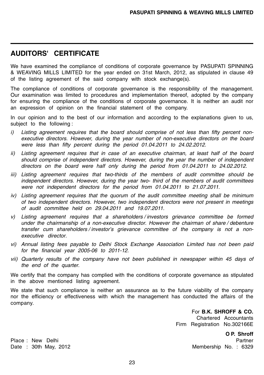## **AUDITORS' CERTIFICATE**

We have examined the compliance of conditions of corporate governance by PASUPATI SPINNING & WEAVING MILLS LIMITED for the year ended on 31st March, 2012, as stipulated in clause 49 of the listing agreement of the said company with stock exchange(s).

The compliance of conditions of corporate governance is the responsibility of the management. Our examination was limited to procedures and implementation thereof, adopted by the company for ensuring the compliance of the conditions of corporate governance. It is neither an audit nor an expression of opinion on the financial statement of the company.

In our opinion and to the best of our information and according to the explanations given to us, subject to the following :

- i) Listing agreement requires that the board should comprise of not less than fifty percent nonexecutive directors. However, during the year number of non-executive directors on the board were less than fifty percent during the period 01.04.2011 to 24.02.2012.
- ii) Listing agreement requires that in case of an executive chairman, at least half of the board should comprise of independent directors. However, during the year the number of independent directors on the board were half only during the period from 01.04.2011 to 24.02.2012.
- iii) Listing agreement requires that two-thirds of the members of audit committee should be independent directors. However, during the year two- third of the members of audit committees were not independent directors for the period from 01.04.2011 to 21.07.2011.
- iv) Listing agreement requires that the quorum of the audit committee meeting shall be minimum of two independent directors. However, two independent directors were not present in meetings of audit committee held on 29.04.2011 and 19.07.2011.
- v) Listing agreement requires that a shareholders / investors grievance committee be formed under the chairmanship of a non-executive director. However the chairman of share / debenture transfer cum shareholders / investor's grievance committee of the company is not a nonexecutive director.
- vi) Annual listing fees payable to Delhi Stock Exchange Association Limited has not been paid for the financial year 2005-06 to 2011-12.
- vii) Quarterly results of the company have not been published in newspaper within 45 days of the end of the quarter.

We certify that the company has complied with the conditions of corporate governance as stipulated in the above mentioned listing agreement.

We state that such compliance is neither an assurance as to the future viability of the company nor the efficiency or effectiveness with which the management has conducted the affairs of the company.

For **B.K. SHROFF & CO.**

Chartered Accountants Firm Registration No.302166E

**O P. Shroff**

Date : 30th May, 2012 **Membership No. : 6329** 

Place : New Delhi **Partner** Partner Partner **Partner** Partner **Partner**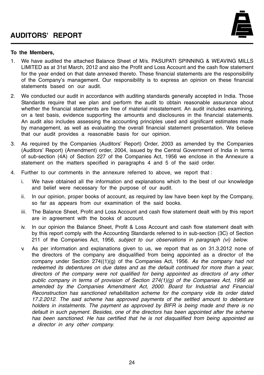

#### **To the Members,**

- 1. We have audited the attached Balance Sheet of M/s. PASUPATI SPINNING & WEAVING MILLS LIMITED as at 31st March, 2012 and also the Profit and Loss Account and the cash flow statement for the year ended on that date annexed thereto. These financial statements are the responsibility of the Company's management. Our responsibility is to express an opinion on these financial statements based on our audit.
- 2. We conducted our audit in accordance with auditing standards generally accepted in India. Those Standards require that we plan and perform the audit to obtain reasonable assurance about whether the financial statements are free of material misstatement. An audit includes examining, on a test basis, evidence supporting the amounts and disclosures in the financial statements. An audit also includes assessing the accounting principles used and significant estimates made by management, as well as evaluating the overall financial statement presentation. We believe that our audit provides a reasonable basis for our opinion.
- 3. As required by the Companies (Auditors' Report) Order, 2003 as amended by the Companies (Auditors' Report) (Amendment) order, 2004, issued by the Central Government of India in terms of sub-section (4A) of Section 227 of the Companies Act, 1956 we enclose in the Annexure a statement on the matters specified in paragraphs 4 and 5 of the said order.
- 4. Further to our comments in the annexure referred to above, we report that :
	- i. We have obtained all the information and explanations which to the best of our knowledge and belief were necessary for the purpose of our audit.
	- ii. In our opinion, proper books of account, as required by law have been kept by the Company, so far as appears from our examination of the said books.
	- iii. The Balance Sheet, Profit and Loss Account and cash flow statement dealt with by this report are in agreement with the books of account.
	- iv. In our opinion the Balance Sheet, Profit & Loss Account and cash flow statement dealt with by this report comply with the Accounting Standards referred to in sub-section (3C) of Section 211 of the Companies Act, 1956, subject to our observations in paragraph (vi) below.
	- v. As per information and explanations given to us, we report that as on 31.3.2012 none of the directors of the company are disqualified from being appointed as a director of the company under Section  $274(1)(g)$  of the Companies Act, 1956. As the company had not redeemed its debentures on due dates and as the default continued for more than a year, directors of the company were not qualified for being appointed as directors of any other public company in terms of provision of Section  $274(1)(q)$  of the Companies Act, 1956 as amended by the Companies Amendment Act, 2000. Board for Industrial and Financial Reconstruction has sanctioned rehabilitation scheme for the company vide its order dated 17.2.2012. The said scheme has approved payments of the settled amount to debenture holders in instalments. The payment as approved by BIFR is being made and there is no default in such payment. Besides, one of the directors has been appointed after the scheme has been sanctioned. He has certified that he is not disqualified from being appointed as a director in any other company.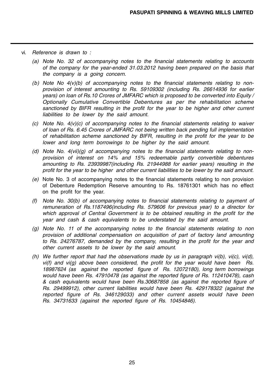- vi. Reference is drawn to :
	- (a) Note No. 32 of accompanying notes to the financial statements relating to accounts of the company for the year-ended 31.03.2012 having been prepared on the basis that the company is a going concern.
	- (b) Note No  $4(v)(b)$  of accompanying notes to the financial statements relating to nonprovision of interest amounting to Rs. 59109302 (including Rs. 26614936 for earlier years) on loan of Rs.10 Crores of JMFARC which is proposed to be converted into Equity / Optionally Cumulative Convertible Debentures as per the rehabilitation scheme sanctioned by BIFR resulting in the profit for the year to be higher and other current liabilities to be lower by the said amount.
	- $(c)$  Note No.  $4(v)(c)$  of accompanying notes to the financial statements relating to waiver of loan of Rs. 6.45 Crores of JMFARC not being written back pending full implementation of rehabilitation scheme sanctioned by BIFR, resulting in the profit for the year to be lower and long term borrowings to be higher by the said amount.
	- (d) Note No.  $4(vii)(g)$  of accompanying notes to the financial statements relating to nonprovision of interest on 14% and 15% redeemable partly convertible debentures amounting to Rs. 23939987(including Rs. 21944988 for earlier years) resulting in the profit for the year to be higher and other current liabilities to be lower by the said amount.
	- $(e)$  Note No. 3 of accompanying notes to the financial statements relating to non provision of Debenture Redemption Reserve amounting to Rs. 18761301 which has no effect on the profit for the year.
	- (f) Note No. 30(b) of accompanying notes to financial statements relating to payment of remuneration of Rs.1187496(including Rs. 579606 for previous year) to a director for which approval of Central Government is to be obtained resulting in the profit for the year and cash & cash equivalents to be understated by the said amount.
	- (g) Note No. 11 of the accompanying notes to the financial statements relating to non provision of additional compensation on acquisition of part of factory land amounting to Rs. 24276787, demanded by the company, resulting in the profit for the year and other current assets to be lower by the said amount.
	- (h) We further report that had the observations made by us in paragraph  $vi(b)$ ,  $vi(c)$ ,  $vi(d)$ ,  $vi(f)$  and  $vi(g)$  above been considered, the profit for the year would have been  $\overline{Rs}$ . 18987624 (as against the reported figure of Rs. 12072180), long term borrowings would have been Rs. 47910478 (as against the reported figure of Rs. 112410478), cash & cash equivalents would have been Rs.30687858 (as against the reported figure of Rs. 29499912), other current liabilities would have been Rs. 429178322 (against the reported figure of Rs. 346129033) and other current assets would have been Rs. 34731633 (against the reported figure of Rs. 10454846).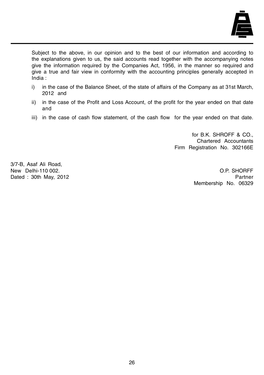

Subject to the above, in our opinion and to the best of our information and according to the explanations given to us, the said accounts read together with the accompanying notes give the information required by the Companies Act, 1956, in the manner so required and give a true and fair view in conformity with the accounting principles generally accepted in India :

- i) in the case of the Balance Sheet, of the state of affairs of the Company as at 31st March, 2012 and
- ii) in the case of the Profit and Loss Account, of the profit for the year ended on that date and
- iii) in the case of cash flow statement, of the cash flow for the year ended on that date.

for B.K. SHROFF & CO., Chartered Accountants Firm Registration No. 302166E

3/7-B, Asaf Ali Road, New Delhi-110 002. O.P. SHORFF

Dated : 30th May, 2012 **Partner** Partner Partner Partner Partner Partner Membership No. 06329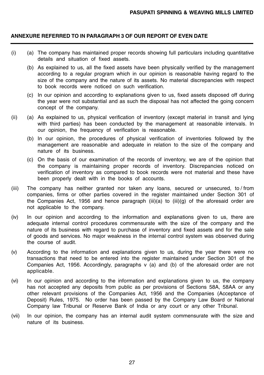## **ANNEXURE REFERRED TO IN PARAGRAPH 3 OF OUR REPORT OF EVEN DATE**

- (i) (a) The company has maintained proper records showing full particulars including quantitative details and situation of fixed assets.
	- (b) As explained to us, all the fixed assets have been physically verified by the management according to a regular program which in our opinion is reasonable having regard to the size of the company and the nature of its assets. No material discrepancies with respect to book records were noticed on such verification.
	- (c) In our opinion and according to explanations given to us, fixed assets disposed off during the year were not substantial and as such the disposal has not affected the going concern concept of the company.
- (ii) (a) As explained to us, physical verification of inventory (except material in transit and lying with third parties) has been conducted by the management at reasonable intervals. In our opinion, the frequency of verification is reasonable.
	- (b) In our opinion, the procedures of physical verification of inventories followed by the management are reasonable and adequate in relation to the size of the company and nature of its business.
	- (c) On the basis of our examination of the records of inventory, we are of the opinion that the company is maintaining proper records of inventory. Discrepancies noticed on verification of inventory as compared to book records were not material and these have been properly dealt with in the books of accounts.
- (iii) The company has neither granted nor taken any loans, secured or unsecured, to / from companies, firms or other parties covered in the register maintained under Section 301 of the Companies Act, 1956 and hence paragraph (iii)(a) to (iii)(g) of the aforesaid order are not applicable to the company.
- (iv) In our opinion and according to the information and explanations given to us, there are adequate internal control procedures commensurate with the size of the company and the nature of its business with regard to purchase of inventory and fixed assets and for the sale of goods and services. No major weakness in the internal control system was observed during the course of audit.
- (v) According to the information and explanations given to us, during the year there were no transactions that need to be entered into the register maintained under Section 301 of the Companies Act, 1956. Accordingly, paragraphs v (a) and (b) of the aforesaid order are not applicable.
- (vi) In our opinion and according to the information and explanations given to us, the company has not accepted any deposits from public as per provisions of Sections 58A, 58AA or any other relevant provisions of the Companies Act, 1956 and the Companies (Acceptance of Deposit) Rules, 1975. No order has been passed by the Company Law Board or National Company law Tribunal or Reserve Bank of India or any court or any other Tribunal.
- (vii) In our opinion, the company has an internal audit system commensurate with the size and nature of its business.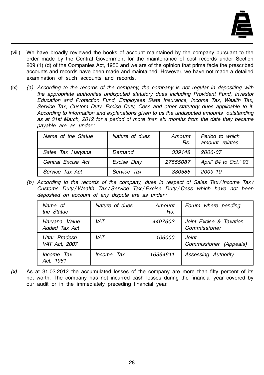

- (viii) We have broadly reviewed the books of account maintained by the company pursuant to the order made by the Central Government for the maintenance of cost records under Section 209 (1) (d) of the Companies Act, 1956 and we are of the opinion that prima facie the prescribed accounts and records have been made and maintained. However, we have not made a detailed examination of such accounts and records.
- (ix) (a) According to the records of the company, the company is not regular in depositing with the appropriate authorities undisputed statutory dues including Provident Fund, Investor Education and Protection Fund, Employees State Insurance, Income Tax, Wealth Tax, Service Tax, Custom Duty, Excise Duty, Cess and other statutory dues applicable to it. According to information and explanations given to us the undisputed amounts outstanding as at 31st March, 2012 for a period of more than six months from the date they became payable are as under :

| Name of the Statue | Nature of dues | Amount<br>Rs. | Period to which<br>amount relates |
|--------------------|----------------|---------------|-----------------------------------|
| Sales Tax Haryana  | Demand         | 339148        | 2006-07                           |
| Central Excise Act | Excise Duty    | 27555087      | April' 84 to Oct.' 93             |
| Service Tax Act    | Service Tax    | 380586        | 2009-10                           |

(b) According to the records of the company, dues in respect of Sales Tax / Income Tax / Customs Duty / Wealth Tax / Service Tax / Excise Duty / Cess which have not been deposited on account of any dispute are as under :

| Name of<br>the Statue          | Nature of dues | Amount<br>Rs. | Forum where pending                     |
|--------------------------------|----------------|---------------|-----------------------------------------|
| Haryana Value<br>Added Tax Act | VAT.           | 4407602       | Joint Excise & Taxation<br>Commissioner |
| Uttar Pradesh<br>VAT Act. 2007 | VAT.           | 106000        | Joint<br>Commissioner (Appeals)         |
| Income Tax<br>Act. 1961        | Income Tax     | 16364611      | Assessing Authority                     |

 $(x)$  As at 31.03.2012 the accumulated losses of the company are more than fifty percent of its net worth. The company has not incurred cash losses during the financial year covered by our audit or in the immediately preceding financial year.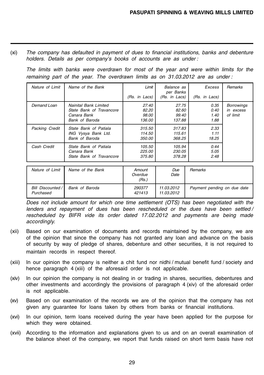(xi) The company has defaulted in payment of dues to financial institutions, banks and debenture holders. Details as per company's books of accounts are as under :

The limits with banks were overdrawn for most of the year and were within limits for the remaining part of the year. The overdrawn limits as on 31.03.2012 are as under :

| Nature of Limit | Name of the Bank                                                                   | Limit<br>(Rs. in Lacs)            | Balance as<br>per Banks<br>(Rs. in Lacs) | Excess<br>(Rs. in Lacs)      | Remarks                                    |
|-----------------|------------------------------------------------------------------------------------|-----------------------------------|------------------------------------------|------------------------------|--------------------------------------------|
| Demand Loan     | Nainital Bank Limited<br>State Bank of Travancore<br>Canara Bank<br>Bank of Baroda | 27.40<br>82.20<br>98.00<br>136.00 | 27.75<br>82.60<br>99.40<br>137.88        | 0.35<br>0.40<br>1.40<br>1.88 | <b>Borrowings</b><br>in excess<br>of limit |
| Packing Credit  | State Bank of Patiala<br>ING Vysya Bank Ltd.<br>Bank of Baroda                     | 315.50<br>114.50<br>350.00        | 317.83<br>115.61<br>368.25               | 2.33<br>1.11<br>18.25        |                                            |
| Cash Credit     | State Bank of Patiala<br>Canara Bank<br>State Bank of Travancore                   | 105.50<br>225.00<br>375.80        | 105.94<br>230.05<br>378.28               | 0.44<br>5.05<br>2.48         |                                            |

| Nature of Limit                | Name of the Bank | Amount<br>Overdue<br>(Rs.) | Due<br>Date              | Remarks                     |
|--------------------------------|------------------|----------------------------|--------------------------|-----------------------------|
| Bill Discounted /<br>Purchased | Bank of Baroda   | 290377<br>421413           | 11.03.2012<br>11.03.2012 | Payment pending on due date |

Does not include amount for which one time settlement (OTS) has been negotiated with the lenders and repayment of dues has been rescheduled or the dues have been settled/ rescheduled by BIFR vide its order dated 17.02.2012 and payments are being made accordingly.

- (xii) Based on our examination of documents and records maintained by the company, we are of the opinion that since the company has not granted any loan and advance on the basis of security by way of pledge of shares, debenture and other securities, it is not required to maintain records in respect thereof.
- (xiii) In our opinion the company is neither a chit fund nor nidhi / mutual benefit fund / society and hence paragraph 4 (xiii) of the aforesaid order is not applicable.
- (xiv) In our opinion the company is not dealing in or trading in shares, securities, debentures and other investments and accordingly the provisions of paragraph 4 (xiv) of the aforesaid order is not applicable.
- (xv) Based on our examination of the records we are of the opinion that the company has not given any guarantee for loans taken by others from banks or financial institutions.
- (xvi) In our opinion, term loans received during the year have been applied for the purpose for which they were obtained.
- (xvii) According to the information and explanations given to us and on an overall examination of the balance sheet of the company, we report that funds raised on short term basis have not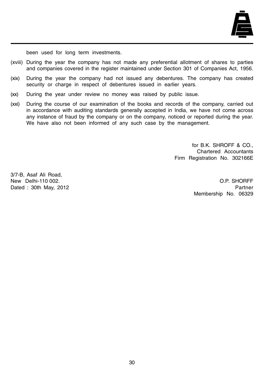

been used for long term investments.

- (xviii) During the year the company has not made any preferential allotment of shares to parties and companies covered in the register maintained under Section 301 of Companies Act, 1956.
- (xix) During the year the company had not issued any debentures. The company has created security or charge in respect of debentures issued in earlier years.
- (xx) During the year under review no money was raised by public issue.
- (xxi) During the course of our examination of the books and records of the company, carried out in accordance with auditing standards generally accepted in India, we have not come across any instance of fraud by the company or on the company, noticed or reported during the year. We have also not been informed of any such case by the management.

for B.K. SHROFF & CO., Chartered Accountants Firm Registration No. 302166E

3/7-B, Asaf Ali Road, New Delhi-110 002. O.P. SHORFF Dated : 30th May, 2012 **Partner** Partner Partner Partner Partner Partner Partner Partner

Membership No. 06329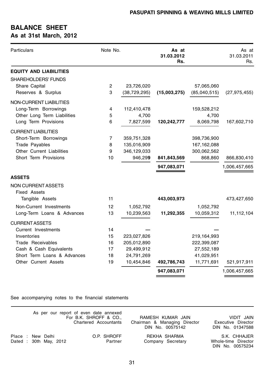## **BALANCE SHEET As at 31st March, 2012**

| Particulars                      | Note No. |                | As at<br>31.03.2012<br>Rs. |               | As at<br>31.03.2011<br>Rs. |
|----------------------------------|----------|----------------|----------------------------|---------------|----------------------------|
| <b>EQUITY AND LIABILITIES</b>    |          |                |                            |               |                            |
| <b>SHAREHOLDERS' FUNDS</b>       |          |                |                            |               |                            |
| Share Capital                    | 2        | 23,726,020     |                            | 57,065,060    |                            |
| Reserves & Surplus               | 3        | (38, 729, 295) | (15,003,275)               | (85,040,515)  | (27, 975, 455)             |
| NON-CURRENT LIABILITIES          |          |                |                            |               |                            |
| Long-Term Borrowings             | 4        | 112,410,478    |                            | 159,528,212   |                            |
| Other Long Term Liabilities      | 5        | 4,700          |                            | 4,700         |                            |
| Long Term Provisions             | 6        | 7,827,599      | 120,242,777                | 8,069,798     | 167,602,710                |
| <b>CURRENT LIABILITIES</b>       |          |                |                            |               |                            |
| Short-Term Borrowings            | 7        | 359,751,328    |                            | 398,736,900   |                            |
| Trade Payables                   | 8        | 135,016,909    |                            | 167, 162, 088 |                            |
| <b>Other Current Liabilities</b> | 9        | 346,129,033    |                            | 300,062,562   |                            |
| Short Term Provisions            | 10       | 946,299        | 841,843,569                | 868,860       | 866,830,410                |
|                                  |          |                | 947,083,071                |               | 1,006,457,665              |
| <b>ASSETS</b>                    |          |                |                            |               |                            |
| NON CURRENT ASSETS               |          |                |                            |               |                            |
| Fixed Assets                     |          |                |                            |               |                            |
| Tangible Assets                  | 11       |                | 443,003,973                |               | 473,427,650                |
| Non-Current Investments          | 12       | 1,052,792      |                            | 1,052,792     |                            |
| Long-Term Loans & Advances       | 13       | 10,239,563     | 11,292,355                 | 10,059,312    | 11,112,104                 |
| <b>CURRENT ASSETS</b>            |          |                |                            |               |                            |
| Current Investments              | 14       |                |                            |               |                            |
| Inventories                      | 15       | 223,027,826    |                            | 219,164,993   |                            |
| Trade Receivables                | 16       | 205,012,890    |                            | 222,399,087   |                            |
| Cash & Cash Equivalents          | 17       | 29,499,912     |                            | 27,552,189    |                            |
| Short Term Loans & Advances      | 18       | 24,791,269     |                            | 41,029,951    |                            |
| Other Current Assets             | 19       | 10,454,846     | 492,786,743                | 11,771,691    | 521,917,911                |
|                                  |          |                | 947,083,071                |               | 1,006,457,665              |

See accompanying notes to the financial statements

|                                             |  |  | As per our report of even date annexed<br>For B.K. SHROFF & CO<br>Chartered Accountants | RAMESH KUMAR JAIN<br>Chairman & Managing Director<br>DIN No. 00575142 | VIDIT JAIN<br>Executive Director<br>DIN No. 01347588    |
|---------------------------------------------|--|--|-----------------------------------------------------------------------------------------|-----------------------------------------------------------------------|---------------------------------------------------------|
| Place : New Delhi<br>Dated : 30th May, 2012 |  |  | O.P. SHROFF<br>Partner                                                                  | REKHA SHARMA<br>Company Secretary                                     | S.K. CHHAJER<br>Whole-time Director<br>DIN No. 00575234 |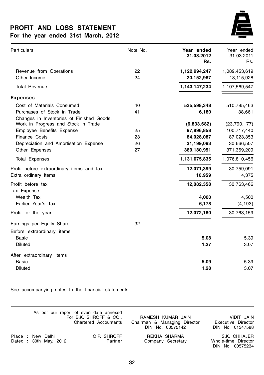## **PROFIT AND LOSS STATEMENT For the year ended 31st March, 2012**



| Particulars                                                              | Note No. | Year ended<br>31.03.2012<br>Rs. | Year ended<br>31.03.2011<br>Rs. |
|--------------------------------------------------------------------------|----------|---------------------------------|---------------------------------|
| Revenue from Operations                                                  | 22       | 1,122,994,247                   | 1,089,453,619                   |
| Other Income                                                             | 24       | 20,152,987                      | 18,115,928                      |
| <b>Total Revenue</b>                                                     |          | 1,143,147,234                   | 1,107,569,547                   |
| <b>Expenses</b>                                                          |          |                                 |                                 |
| Cost of Materials Consumed                                               | 40       | 535,598,348                     | 510,785,463                     |
| Purchases of Stock in Trade<br>Changes in Inventories of Finished Goods, | 41       | 6,180                           | 38,661                          |
| Work in Progress and Stock in Trade                                      |          | (6,833,682)                     | (23,790,177)                    |
| Employee Benefits Expense                                                | 25       | 97,896,858                      | 100,717,440                     |
| Finance Costs                                                            | 23       | 84,028,087                      | 87,023,353                      |
| Depreciation and Amortisation Expense                                    | 26       | 31,199,093                      | 30,666,507                      |
| Other Expenses                                                           | 27       | 389,180,951                     | 371,369,209                     |
| <b>Total Expenses</b>                                                    |          | 1,131,075,835                   | 1,076,810,456                   |
| Profit before extraordinary items and tax                                |          | 12,071,399                      | 30,759,091                      |
| Extra ordinary Items                                                     |          | 10,959                          | 4,375                           |
| Profit before tax<br>Tax Expense                                         |          | 12,082,358                      | 30,763,466                      |
| Wealth Tax                                                               |          | 4,000                           | 4,500                           |
| Earlier Year's Tax                                                       |          | 6,178                           | (4, 193)                        |
| Profit for the year                                                      |          | 12,072,180                      | 30,763,159                      |
| Earnings per Equity Share                                                | 32       |                                 |                                 |
| Before extraordinary items                                               |          |                                 |                                 |
| Basic                                                                    |          | 5.08                            | 5.39                            |
| <b>Diluted</b>                                                           |          | 1.27                            | 3.07                            |
| After extraordinary items                                                |          |                                 |                                 |
| Basic                                                                    |          | 5.09                            | 5.39                            |
| <b>Diluted</b>                                                           |          | 1.28                            | 3.07                            |

See accompanying notes to the financial statements

|                                             |  |  | As per our report of even date annexed<br>For B.K. SHROFF & CO.,<br>Chartered Accountants | RAMESH KUMAR JAIN<br>Chairman & Managing Director<br>DIN No. 00575142 | VIDIT JAIN<br>Executive Director<br>DIN No. 01347588    |
|---------------------------------------------|--|--|-------------------------------------------------------------------------------------------|-----------------------------------------------------------------------|---------------------------------------------------------|
| Place : New Delhi<br>Dated : 30th May, 2012 |  |  | O.P. SHROFF<br>Partner                                                                    | REKHA SHARMA<br>Company Secretary                                     | S.K. CHHAJER<br>Whole-time Director<br>DIN No. 00575234 |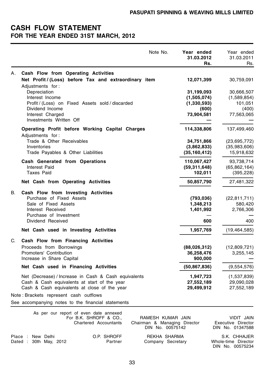## **CASH FLOW STATEMENT FOR THE YEAR ENDED 31ST MARCH, 2012**

|    | Note No.                                                                                                                                             | Year ended<br>31.03.2012<br>Rs.             | Year ended<br>31.03.2011<br>Rs.            |
|----|------------------------------------------------------------------------------------------------------------------------------------------------------|---------------------------------------------|--------------------------------------------|
| А. | Cash Flow from Operating Activities                                                                                                                  |                                             |                                            |
|    | Net Profit/(Loss) before Tax and extraordinary item<br>Adjustments for:                                                                              | 12,071,399                                  | 30,759,091                                 |
|    | Depreciation<br>Interest Income                                                                                                                      | 31,199,093<br>(1,505,074)                   | 30,666,507<br>(1,589,854)                  |
|    | Profit / (Loss) on Fixed Assets sold / discarded                                                                                                     | (1,330,593)                                 | 101,051                                    |
|    | Dividend Income<br>Interest Charged<br>Investments Written Off                                                                                       | (600)<br>73,904,581                         | (400)<br>77,563,065                        |
|    | Operating Profit before Working Capital Charges<br>Adjustments for:                                                                                  | 114,338,806                                 | 137,499,460                                |
|    | Trade & Other Receivables<br>Inventories<br>Trade Payables & Other Liabilities                                                                       | 34,751,866<br>(3,862,833)<br>(35, 160, 412) | (23,695,772)<br>(35,983,606)<br>15,918,632 |
|    | Cash Generated from Operations<br>Interest Paid<br><b>Taxes Paid</b>                                                                                 | 110,067,427<br>(59,311,648)<br>102,011      | 93,738,714<br>(65, 862, 164)<br>(395, 228) |
|    | Net Cash from Operating Activities                                                                                                                   | 50,857,790                                  | 27,481,322                                 |
| В. | Cash Flow from Investing Activities<br>Purchase of Fixed Assets<br>Sale of Fixed Assets<br>Interest Received<br>Purchase of Investment               | (793, 036)<br>1,348,213<br>1,401,992        | (22, 811, 711)<br>580,420<br>2,766,306     |
|    | Dividend Received                                                                                                                                    | 600                                         | 400                                        |
|    | Net Cash used in Investing Activities                                                                                                                | 1,957,769                                   | (19, 464, 585)                             |
| C. | Cash Flow from Financing Activities<br>Proceeds from Borrowings<br>Promoters' Contribution<br>Increase in Share Capital                              | (88,026,312)<br>36,258,476<br>900,000       | (12,809,721)<br>3,255,145                  |
|    | Net Cash used in Financing Activities                                                                                                                | (50, 867, 836)                              | (9,554,576)                                |
|    | Net (Decrease) / Increase in Cash & Cash equivalents<br>Cash & Cash equivalents at start of the year<br>Cash & Cash equivalents at close of the year | 1,947,723<br>27,552,189<br>29,499,912       | (1,537,839)<br>29,090,028<br>27,552,189    |
|    | Note: Brackets represent cash outflows                                                                                                               |                                             |                                            |
|    | See accompanying notes to the financial statements                                                                                                   |                                             |                                            |

|                                            |  |  | As per our report of even date annexed<br>For B.K. SHROFF & CO<br>Chartered Accountants | RAMESH KUMAR JAIN<br>Chairman & Managing Director<br>DIN No. 00575142 | VIDIT JAIN<br>Executive Director<br>DIN No. 01347588    |
|--------------------------------------------|--|--|-----------------------------------------------------------------------------------------|-----------------------------------------------------------------------|---------------------------------------------------------|
| Place: New Delhi<br>Dated : 30th May, 2012 |  |  | O.P. SHROFF<br>Partner                                                                  | REKHA SHARMA<br>Company Secretary                                     | S.K. CHHAJER<br>Whole-time Director<br>DIN No. 00575234 |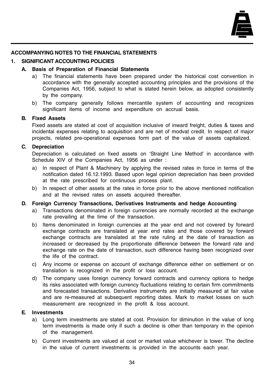

## **ACCOMPANYING NOTES TO THE FINANCIAL STATEMENTS**

## **1. SIGNIFICANT ACCOUNTING POLICIES**

## **A. Basis of Preparation of Financial Statements**

- a) The financial statements have been prepared under the historical cost convention in accordance with the generally accepted accounting principles and the provisions of the Companies Act, 1956, subject to what is stated herein below, as adopted consistently by the company.
- b) The company generally follows mercantile system of accounting and recognizes significant items of income and expenditure on accrual basis.

## **B. Fixed Assets**

Fixed assets are stated at cost of acquisition inclusive of inward freight, duties & taxes and incidental expenses relating to acquisition and are net of modvat credit. In respect of major projects, related pre-operational expenses form part of the value of assets capitalized.

## **C. Depreciation**

Depreciation is calculated on fixed assets on 'Straight Line Method' in accordance with Schedule XIV of the Companies Act, 1956 as under :

- a) In respect of Plant & Machinery by applying the revised rates in force in terms of the notification dated 16.12.1993. Based upon legal opinion depreciation has been provided at the rate prescribed for continuous process plant.
- b) In respect of other assets at the rates in force prior to the above mentioned notification and at the revised rates on assets acquired thereafter.

#### **D. Foreign Currency Transactions, Derivatives Instruments and hedge Accounting**

- a) Transactions denominated in foreign currencies are normally recorded at the exchange rate prevailing at the time of the transaction.
- b) Items denominated in foreign currencies at the year end and not covered by forward exchange contracts are translated at year end rates and those covered by forward exchange contracts are translated at the rate ruling at the date of transaction as increased or decreased by the proportionate difference between the forward rate and exchange rate on the date of transaction, such difference having been recognized over the life of the contract.
- c) Any income or expense on account of exchange difference either on settlement or on translation is recognized in the profit or loss account.
- d) The company uses foreign currency forward contracts and currency options to hedge its risks associated with foreign currency fluctuations relating to certain firm commitments and forecasted transactions. Derivative instruments are initially measured at fair value and are re-measured at subsequent reporting dates. Mark to market losses on such measurement are recognized in the profit & loss account.

## **E. Investments**

- a) Long term investments are stated at cost. Provision for diminution in the value of long term investments is made only if such a decline is other than temporary in the opinion of the management.
- b) Current investments are valued at cost or market value whichever is lower. The decline in the value of current investments is provided in the accounts each year.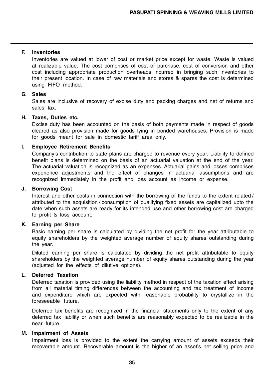### **F. Inventories**

Inventories are valued at lower of cost or market price except for waste. Waste is valued at realizable value. The cost comprises of cost of purchase, cost of conversion and other cost including appropriate production overheads incurred in bringing such inventories to their present location. In case of raw materials and stores & spares the cost is determined using FIFO method.

#### **G. Sales**

Sales are inclusive of recovery of excise duty and packing charges and net of returns and sales tax.

## **H. Taxes, Duties etc.**

Excise duty has been accounted on the basis of both payments made in respect of goods cleared as also provision made for goods lying in bonded warehouses. Provision is made for goods meant for sale in domestic tariff area only.

#### **I. Employee Retirement Benefits**

Company's contribution to state plans are charged to revenue every year. Liability to defined benefit plans is determined on the basis of an actuarial valuation at the end of the year. The actuarial valuation is recognized as an expenses. Actuarial gains and losses comprises experience adjustments and the effect of changes in actuarial assumptions and are recognized immediately in the profit and loss account as income or expense.

#### **J. Borrowing Cost**

Interest and other costs in connection with the borrowing of the funds to the extent related / attributed to the acquisition / consumption of qualifying fixed assets are capitalized upto the date when such assets are ready for its intended use and other borrowing cost are charged to profit & loss account.

## **K. Earning per Share**

Basic earning per share is calculated by dividing the net profit for the year attributable to equity shareholders by the weighted average number of equity shares outstanding during the year.

Diluted earning per share is calculated by dividing the net profit attributable to equity shareholders by the weighted average number of equity shares outstanding during the year (adjusted for the effects of dilutive options).

## **L. Deferred Taxation**

Deferred taxation is provided using the liability method in respect of the taxation effect arising from all material timing differences between the accounting and tax treatment of income and expenditure which are expected with reasonable probability to crystallize in the foreseeable future.

Deferred tax benefits are recognized in the financial statements only to the extent of any deferred tax liability or when such benefits are reasonably expected to be realizable in the near future.

## **M. Impairment of Assets**

Impairment loss is provided to the extent the carrying amount of assets exceeds their recoverable amount. Recoverable amount is the higher of an asset's net selling price and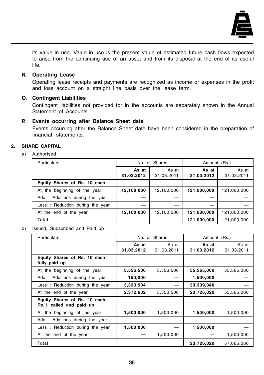

its value in use. Value in use is the present value of estimated future cash flows expected to arise from the continuing use of an asset and from its disposal at the end of its useful life.

### **N. Operating Lease**

Operating lease receipts and payments are recognized as income or expenses in the profit and loss account on a straight line basis over the lease term.

### **O. Contingent Liabilities**

Contingent liabilities not provided for in the accounts are separately shown in the Annual Statement of Accounts.

#### **P. Events occurring after Balance Sheet date**

Events occurring after the Balance Sheet date have been considered in the preparation of financial statements.

### **2. SHARE CAPITAL**

a) Authorised

| Particulars                     | No. of Shares       |                     | Amount (Rs.)        |                     |
|---------------------------------|---------------------|---------------------|---------------------|---------------------|
|                                 | As at<br>31.03.2012 | As at<br>31.03.2011 | As at<br>31.03.2012 | As at<br>31.03.2011 |
| Equity Shares of Rs. 10 each    |                     |                     |                     |                     |
| At the beginning of the year    | 12,100,000          | 12,100,000          | 121,000,000         | 121,000,000         |
| Add: Additions during the year  |                     |                     |                     |                     |
| Less: Reduction during the year |                     |                     |                     |                     |
| At the end of the year          | 12,100,000          | 12,100,000          | 121,000,000         | 121,000,000         |
| Total                           |                     |                     | 121,000,000         | 121,000,000         |

b) Issued, Subscribed and Paid up

| Particulars                                               |                     | No. of Shares       | Amount (Rs.)        |                     |
|-----------------------------------------------------------|---------------------|---------------------|---------------------|---------------------|
|                                                           | As at<br>31.03.2012 | As at<br>31.03.2011 | As at<br>31.03.2012 | As at<br>31.03.2011 |
| Equity Shares of Rs. 10 each<br>fully paid up             |                     |                     |                     |                     |
| At the beginning of the year                              | 5,556,506           | 5,556,506           | 55,565,060          | 55,565,060          |
| Add: Additions during the year                            | 150,000             |                     | 1,500,000           |                     |
| Less: Reduction during the year                           | 3,333,904           |                     | 33,339,040          |                     |
| At the end of the year                                    | 2,372,602           | 5,556,506           | 23,726,020          | 55,565,060          |
| Equity Shares of Rs. 10 each,<br>Re. 1 called and paid up |                     |                     |                     |                     |
| At the beginning of the year                              | 1,500,000           | 1,500,000           | 1,500,000           | 1,500,000           |
| Add: Additions during the year                            |                     |                     |                     |                     |
| Less: Reduction during the year                           | 1,500,000           |                     | 1,500,000           |                     |
| At the end of the year                                    |                     | 1,500,000           |                     | 1,500,000           |
| Total                                                     |                     |                     | 23,726,020          | 57,065,060          |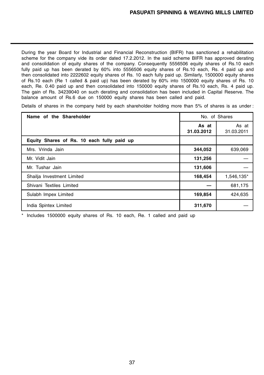During the year Board for Industrial and Financial Reconstruction (BIFR) has sanctioned a rehabilitation scheme for the company vide its order dated 17.2.2012. In the said scheme BIFR has approved derating and consolidation of equity shares of the company. Consequently 5556506 equity shares of Rs.10 each fully paid up has been derated by 60% into 5556506 equity shares of Rs.10 each, Rs. 4 paid up and then consolidated into 2222602 equity shares of Rs. 10 each fully paid up. Similarly, 1500000 equity shares of Rs.10 each (Re 1 called & paid up) has been derated by 60% into 1500000 equity shares of Rs. 10 each, Re. 0.40 paid up and then consolidated into 150000 equity shares of Rs.10 each, Rs. 4 paid up. The gain of Rs. 34239040 on such derating and consolidation has been included in Capital Reserve. The balance amount of Rs.6 due on 150000 equity shares has been called and paid.

Details of shares in the company held by each shareholder holding more than 5% of shares is as under :

| Name of the Shareholder                    | No. of Shares       |                     |
|--------------------------------------------|---------------------|---------------------|
|                                            | As at<br>31.03.2012 | As at<br>31.03.2011 |
| Equity Shares of Rs. 10 each fully paid up |                     |                     |
| Mrs. Vrinda Jain                           | 344,052             | 639,069             |
| Mr. Vidit Jain                             | 131,256             |                     |
| Mr. Tushar Jain                            | 131,606             |                     |
| Shailja Investment Limited                 | 168,454             | 1.546,135*          |
| Shivani Textiles Limited                   |                     | 681,175             |
| Sulabh Impex Limited                       | 169,854             | 424,635             |
| India Spintex Limited                      | 311,670             |                     |

\* Includes 1500000 equity shares of Rs. 10 each, Re. 1 called and paid up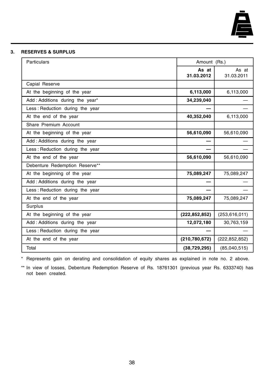

#### **3. RESERVES & SURPLUS**

| Particulars                     | Amount (Rs.)        |                     |
|---------------------------------|---------------------|---------------------|
|                                 | As at<br>31.03.2012 | As at<br>31.03.2011 |
| Capial Reserve                  |                     |                     |
| At the beginning of the year    | 6,113,000           | 6,113,000           |
| Add: Additions during the year* | 34,239,040          |                     |
| Less: Reduction during the year |                     |                     |
| At the end of the year          | 40,352,040          | 6,113,000           |
| Share Premium Account           |                     |                     |
| At the beginning of the year    | 56,610,090          | 56,610,090          |
| Add: Additions during the year  |                     |                     |
| Less: Reduction during the year |                     |                     |
| At the end of the year          | 56,610,090          | 56,610,090          |
| Debenture Redemption Reserve**  |                     |                     |
| At the beginning of the year    | 75,089,247          | 75,089,247          |
| Add: Additions during the year  |                     |                     |
| Less: Reduction during the year |                     |                     |
| At the end of the year          | 75,089,247          | 75,089,247          |
| Surplus                         |                     |                     |
| At the beginning of the year    | (222, 852, 852)     | (253, 616, 011)     |
| Add: Additions during the year  | 12,072,180          | 30,763,159          |
| Less: Reduction during the year |                     |                     |
| At the end of the year          | (210, 780, 672)     | (222, 852, 852)     |
| Total                           | (38, 729, 295)      | (85,040,515)        |

\* Represents gain on derating and consolidation of equity shares as explained in note no. 2 above.

\*\* In view of losses, Debenture Redemption Reserve of Rs. 18761301 (previous year Rs. 6333740) has not been created.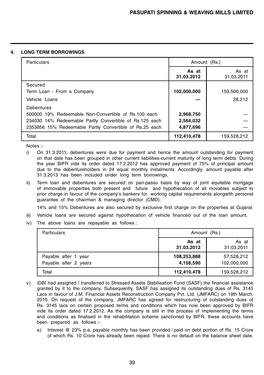#### **4. LONG TERM BORROWINGS**

| Particulars                                             | Amount (Rs.)        |                     |
|---------------------------------------------------------|---------------------|---------------------|
|                                                         | As at<br>31.03.2012 | As at<br>31.03.2011 |
| Secured                                                 |                     |                     |
| Term Loan - From a Company                              | 102,000,000         | 159,500,000         |
| Vehicle Loans                                           |                     | 28.212              |
| Debentures                                              |                     |                     |
| 500000 19% Redeemable Non-Convertible of Rs.100 each    | 2,968,750           |                     |
| 234030 14% Redeemable Partly Convertible of Rs.125 each | 2,564,032           |                     |
| 2353856 15% Redeemable Partly Convertible of Rs.25 each | 4,877,696           |                     |
| Total                                                   | 112,410,478         | 159,528,212         |

Notes :-

- i) On 31.3.2011, debentures were due for payment and hence the amount outstanding for payment on that date has been grouped in other current liabilities-current maturity of long term debts. During the year BIFR vide its order dated 17.2.2012 has approved payment of 75% of principal amount due to the debentureholders in 24 equal monthly instalments. Accordingly, amount payable after 31.3.2013 has been included under long term borrowings.
- ii) Term loan and debentures are secured on pari-passu basis by way of joint equitable mortgage of immovable properties both present and future and hypothecation of all movables subject to prior charge in favour of the company's bankers for working capital requirements alongwith personal guarantee of the chairman & managing director (CMD).

14% and 15% Debentures are also secured by exclusive first charge on the properties at Gujarat.

- iii) Vehicle loans are secured against hypothecation of vehicle financed out of the loan amount.
- iv) The above loans are repayable as follows :

| Particulars                                   | Amount (Rs.)             |                           |  |
|-----------------------------------------------|--------------------------|---------------------------|--|
|                                               | As at<br>31.03.2012      | As at<br>31.03.2011       |  |
| Payable after 1 year<br>Payable after 2 years | 108,253,888<br>4,156,590 | 57,528,212<br>102,000,000 |  |
| Total                                         | 112,410,478              | 159,528,212               |  |

- v) IDBI had assigned / transferred to Stressed Assets Stabilisation Fund (SASF) the financial assistance granted by it to the company. Subsequently, SASF has assigned its outstanding dues of Rs. 3145 Lacs in favour of J.M. Financial Assets Reconstruction Company Pvt. Ltd. (JMFARC) on 19th March, 2010. On request of the company, JMFARC has agreed for restructuring of outstanding dues of Rs. 3145 lacs on certain proposed terms and conditions which has now been approved by BIFR vide its order dated 17.2.2012. As the company is still in the process of implementing the terms and conditions as finalised in the rehabilitation scheme sanctioned by BIFR, these accounts have been prepared as follows :
	- a) Interest @ 23% p.a. payable monthly has been provided / paid on debt portion of Rs. 15 Crore of which Rs. 10 Crore has already been repaid. There is no default on the balance sheet date.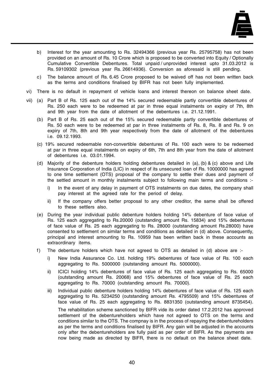

- b) Interest for the year amounting to Rs. 32494366 (previous year Rs. 25795758) has not been provided on an amount of Rs. 10 Crore which is proposed to be converted into Equity / Optionally Cumulative Convertible Debentures. Total unpaid / unprovided interest upto 31.03.2012 is Rs. 59109302 (previous year Rs. 26614936). Conversion as aforesaid is still pending.
- c) The balance amount of Rs. 6.45 Crore proposed to be waived off has not been written back as the terms and conditions finalised by BIFR has not been fully implemented.
- vi) There is no default in repayment of vehicle loans and interest thereon on balance sheet date.
- vii) (a) Part B of Rs. 125 each out of the 14% secured redeemable partly convertible debentures of Rs. 250 each were to be redeemed at par in three equal instalments on expiry of 7th, 8th and 9th year from the date of allotment of the debentures i.e. 21.12.1991.
	- (b) Part B of Rs. 25 each out of the 15% secured redeemable partly convertible debentures of Rs. 50 each were to be redeemed at par in three instalments of Rs. 8, Rs. 8 and Rs. 9 on expiry of 7th, 8th and 9th year respectively from the date of allotment of the debentures i.e. 09.12.1993.
	- (c) 19% secured redeemable non-convertible debentures of Rs. 100 each were to be redeemed at par in three equal instalments on expiry of 6th, 7th and 8th year from the date of allotment of debentures i.e. 03.01.1994.
	- (d) Majority of the debenture holders holding debentures detailed in (a), (b) & (c) above and Life Insurance Corporation of India (LIC) in respect of its unsecured loan of Rs. 10000000 has agreed to one time settlement (OTS) proposal of the company to settle their dues and payment of the settled amount in monthly instalments subject to following main terms and conditions :
		- i) In the event of any delay in payment of OTS instalments on due dates, the company shall pay interest at the agreed rate for the period of delay.
		- ii) If the company offers better proposal to any other creditor, the same shall be offered to these settlers also.
	- (e) During the year individual public debenture holders holding 14% debenture of face value of Rs. 125 each aggregating to Rs.20000 (outstanding amount Rs. 15834) and 15% debentures of face value of Rs. 25 each aggregating to Rs. 28000 (outstanding amount Rs.28000) have consented to settlement on similar terms and conditions as detailed in (d) above. Consequently, principal and interest amounting to Rs. 10959 has been written back in these accounts as extraordinary items.
	- f) The debenture holders which have not agreed to OTS as detailed in (d) above are :
		- i) New India Assurance Co. Ltd. holding 19% debentures of face value of Rs. 100 each aggregating to Rs. 5000000 (outstanding amount Rs. 5000000).
		- ii) ICICI holding 14% debentures of face value of Rs. 125 each aggregating to Rs. 65000 (outstanding amount Rs. 20068) and 15% debentures of face value of Rs. 25 each aggregating to Rs. 70000 (outstanding amount Rs. 70000).
		- iii) Individual public debenture holders holding 14% debentures of face value of Rs. 125 each aggregating to Rs. 5234250 (outstanding amount Rs. 4795509) and 15% debentures of face value of Rs. 25 each aggregating to Rs. 8831350 (outstanding amount 8735454). The rehabilitation scheme sanctioned by BIFR vide its order dated 17.2.2012 has approved settlement of the debentureholders which have not agreed to OTS on the terms and

conditions similar to the OTS. The compnay is in the process of repaying the debentureholders as per the terms and conditions finalised by BIFR. Any gain will be adjusted in the accounts only after the debentureholders are fully paid as per order of BIFR. As the payments are now being made as directed by BIFR, there is no default on the balance sheet date.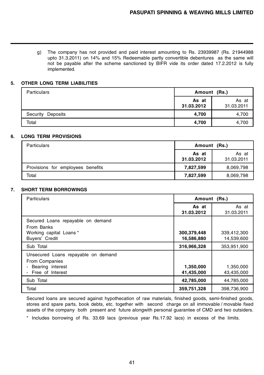g) The company has not provided and paid interest amounting to Rs. 23939987 (Rs. 21944988 upto 31.3.2011) on 14% and 15% Redeemable partly convertible debentures as the same will not be payable after the scheme sanctioned by BIFR vide its order dated 17.2.2012 is fully implemented.

#### **5. OTHER LONG TERM LIABILITIES**

| <b>Particulars</b>   | Amount (Rs.)        |                     |
|----------------------|---------------------|---------------------|
|                      | As at<br>31.03.2012 | As at<br>31.03.2011 |
| Security<br>Deposits | 4,700               | 4,700               |
| Total                | 4,700               | 4,700               |

#### **6. LONG TERM PROVISIONS**

| <b>Particulars</b>                | Amount (Rs.)        |                     |
|-----------------------------------|---------------------|---------------------|
|                                   | As at<br>31.03.2012 | As at<br>31.03.2011 |
| Provisions for employees benefits | 7,827,599           | 8,069,798           |
| Total                             | 7,827,599           | 8,069,798           |

#### **7. SHORT TERM BORROWINGS**

| Particulars                                                                                          | Amount (Rs.)              |                           |  |
|------------------------------------------------------------------------------------------------------|---------------------------|---------------------------|--|
|                                                                                                      | As at<br>31.03.2012       | As at<br>31.03.2011       |  |
| Secured Loans repayable on demand<br>From Banks<br>Working capital Loans*<br>Buyers' Credit          | 300,379,448<br>16,586,880 | 339,412,300<br>14,539,600 |  |
| Sub Total                                                                                            | 316,966,328               | 353,951,900               |  |
| Unsecured Loans repayable on demand<br><b>From Companies</b><br>Bearing interest<br>Free of Interest | 1,350,000<br>41,435,000   | 1,350,000<br>43,435,000   |  |
| Sub Total                                                                                            | 42,785,000                | 44,785,000                |  |
| Total                                                                                                | 359,751,328               | 398,736,900               |  |

Secured loans are secured against hypothecation of raw materials, finished goods, semi-finished goods, stores and spare parts, book debts, etc. together with second charge on all immovable / movable fixed assets of the company both present and future alongwith personal guarantee of CMD and two outsiders.

\* Includes borrowing of Rs. 33.69 lacs (previous year Rs.17.92 lacs) in excess of the limits.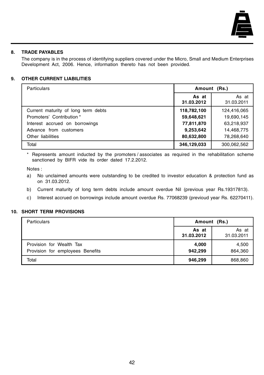

### **8. TRADE PAYABLES**

The company is in the process of identifying suppliers covered under the Micro, Small and Medium Enterprises Development Act, 2006. Hence, information thereto has not been provided.

#### **9. OTHER CURRENT LIABILITIES**

| <b>Particulars</b>                  | Amount (Rs.)        |                     |
|-------------------------------------|---------------------|---------------------|
|                                     | As at<br>31.03.2012 | As at<br>31.03.2011 |
| Current maturity of long term debts | 118,782,100         | 124,416,065         |
| Promoters' Contribution *           | 59,648,621          | 19,690,145          |
| Interest accrued on borrowings      | 77,811,870          | 63,218,937          |
| Advance from customers              | 9,253,642           | 14,468,775          |
| Other liabilities                   | 80,632,800          | 78,268,640          |
| Total                               | 346,129,033         | 300,062,562         |

\* Represents amount inducted by the promoters / associates as required in the rehabilitation scheme sanctioned by BIFR vide its order dated 17.2.2012.

Notes :

- a) No unclaimed amounts were outstanding to be credited to investor education & protection fund as on 31.03.2012.
- b) Current maturity of long term debts include amount overdue Nil (previous year Rs.19317813).
- c) Interest accrued on borrowings include amount overdue Rs. 77068239 (previoud year Rs. 62270411).

#### **10. SHORT TERM PROVISIONS**

| Particulars                                                  | Amount (Rs.)        |                     |
|--------------------------------------------------------------|---------------------|---------------------|
|                                                              | As at<br>31.03.2012 | As at<br>31.03.2011 |
| Provision for Wealth Tax<br>Provision for employees Benefits | 4,000<br>942,299    | 4,500<br>864,360    |
| Total                                                        | 946,299             | 868,860             |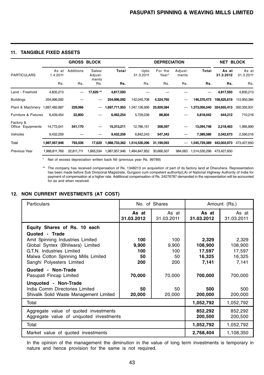#### **11. TANGIBLE FIXED ASSETS**

|                                   |                   | <b>GROSS BLOCK</b> |                            |               |                   | <b>DEPRECIATION</b> |                  |               | NET                | <b>BLOCK</b>       |
|-----------------------------------|-------------------|--------------------|----------------------------|---------------|-------------------|---------------------|------------------|---------------|--------------------|--------------------|
| <b>PARTICULARS</b>                | As at<br>1.4.2011 | <b>Additions</b>   | Sales/<br>Adjust-<br>ments | Total         | Upto<br>31.3.2011 | For the<br>Year*    | Adjust-<br>ments | Total         | As at<br>31.3.2012 | As at<br>31.3.2011 |
|                                   | Rs.               | Rs.                | Rs.                        | Rs.           | Rs.               | Rs.                 | Rs.              | Rs.           | Rs.                | Rs.                |
| Land - Freehold                   | 4,835,213         |                    | 17.620**                   | 4,817,593     |                   |                     |                  |               | 4,817,593          | 4,835,213          |
| <b>Buildings</b>                  | 254,996,092       |                    |                            | 254,996,092   | 142,045,708       | 4,324,765           |                  | 146.370.473   | 108,625,619        | 112,950,384        |
| Plant & Machinery                 | 1,697,482,887     | 229,066            | $\overline{\phantom{m}}$   | 1,697,711,953 | 1,347,126,956     | 25,929,584          | -                | 1,373,056,540 | 324,655,413        | 350,355,931        |
| Furniture & Fixtures              | 6,439,454         | 22,800             |                            | 6,462,254     | 5,729,238         | 88,804              |                  | 5,818,042     | 644,212            | 710,216            |
| Factory &<br>Equipments<br>Office | 14,772,041        | 541,170            |                            | 15,313,211    | 12,786,151        | 308,597             |                  | 13,094,748    | 2,218,463          | 1,985,890          |
| Vehicles                          | 9,432,259         |                    |                            | 9,432,259     | 6,842,243         | 547,343             |                  | 7,389,586     | 2,042,673          | 2,590,016          |
| Total                             | 1,987,957,946     | 793,036            | 17.620                     | 1,988,733,362 | 1,514,530,296     | 31,199,093          |                  | 1,545,729,389 | 443,003,973        | 473,427,650        |
| Previous Year                     | 1,966,811,769     | 22,811,711         | 1,665,534                  | 1,987,957,946 | 1,484,847,852     | 30,666,507          | 984,063          | 1,514,530,296 | 473,427,650        |                    |

\* Net of excess depreciation written back Nil (previous year Rs. 99789)

\*\* The company has received compensation of Rs. 1348213 on acquisition of part of its factory land at Dharuhera. Representation has been made before Sub Divisional Magistrate, Gurgaon cum competent authority(LA) of National Highway Authority of India for payment of compensation at a higher rate. Additional compensation of Rs. 24276787 demanded in the representation will be accounted for as and when received.

#### **12. NON CURRENT INVESTMENTS (AT COST)**

| <b>Particulars</b>                                                                                                                                                                      |                                  | No. of Shares                    |                                               | Amount (Rs.)                                  |
|-----------------------------------------------------------------------------------------------------------------------------------------------------------------------------------------|----------------------------------|----------------------------------|-----------------------------------------------|-----------------------------------------------|
|                                                                                                                                                                                         | As at<br>31.03.2012              | As at<br>31.03.2011              | As at<br>31.03.2012                           | As at<br>31.03.2011                           |
| Equity Shares of Rs. 10 each                                                                                                                                                            |                                  |                                  |                                               |                                               |
| Quoted - Trade<br>Amit Spinning Industries Limited<br>Global Syntex (Bhilwara) Limited<br>G.T.N. Industries Limited<br>Malwa Cotton Spinning Mills Limited<br>Sanghi Polyesters Limited | 100<br>9,900<br>100<br>50<br>200 | 100<br>9.900<br>100<br>50<br>200 | 2,329<br>108,900<br>17,597<br>16,325<br>7,141 | 2,329<br>108,900<br>17,597<br>16,325<br>7,141 |
| Quoted - Non-Trade<br>Pasupati Fincap Limited                                                                                                                                           | 70,000                           | 70,000                           | 700,000                                       | 700,000                                       |
| Unquoted - Non-Trade<br>India Comm Directories Limited<br>Shivalik Solid Waste Management Limited                                                                                       | 50<br>20,000                     | 50<br>20,000                     | 500<br>200,000                                | 500<br>200,000                                |
| Total                                                                                                                                                                                   |                                  |                                  | 1,052,792                                     | 1,052,792                                     |
| Aggregate value of quoted investments<br>Aggregate value of unguoted investments                                                                                                        |                                  |                                  | 852,292<br>200,500                            | 852,292<br>200,500                            |
| Total                                                                                                                                                                                   |                                  |                                  | 1,052,792                                     | 1,052,792                                     |
| Market value of quoted investments                                                                                                                                                      |                                  |                                  | 2,768,404                                     | 1,108,350                                     |

In the opinion of the management the diminution in the value of long term investments is temporary in nature and hence provision for the same is not required.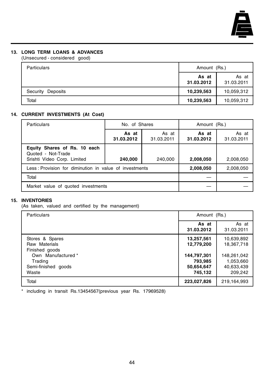

#### **13. LONG TERM LOANS & ADVANCES**

(Unsecured - considered good)

| <b>Particulars</b>   | Amount (Rs.)        |                     |
|----------------------|---------------------|---------------------|
|                      | As at<br>31.03.2012 | As at<br>31.03.2011 |
| Security<br>Deposits | 10,239,563          | 10,059,312          |
| Total                | 10,239,563          | 10,059,312          |

## **14. CURRENT INVESTMENTS (At Cost)**

| Particulars                                                                       | No. of Shares       |                     | Amount (Rs.)        |                     |
|-----------------------------------------------------------------------------------|---------------------|---------------------|---------------------|---------------------|
|                                                                                   | As at<br>31.03.2012 | As at<br>31.03.2011 | As at<br>31.03.2012 | As at<br>31.03.2011 |
| Equity Shares of Rs. 10 each<br>Quoted - Not-Trade<br>Srishti Video Corp. Limited | 240,000             | 240,000             | 2,008,050           | 2,008,050           |
| Less: Provision for diminution in value of investments                            | 2,008,050           | 2,008,050           |                     |                     |
| Total                                                                             |                     |                     |                     |                     |
| Market value of quoted investments                                                |                     |                     |                     |                     |

### **15. INVENTORIES**

(As taken, valued and certified by the management)

| Particulars                                                                                                         | Amount (Rs.)                                                                |                                                                               |
|---------------------------------------------------------------------------------------------------------------------|-----------------------------------------------------------------------------|-------------------------------------------------------------------------------|
|                                                                                                                     | As at<br>31.03.2012                                                         | As at<br>31.03.2011                                                           |
| Stores & Spares<br>Raw Materials<br>Finished goods<br>Own Manufactured *<br>Trading<br>Semi-finished goods<br>Waste | 13,257,561<br>12,779,200<br>144,797,301<br>793,985<br>50,654,647<br>745,132 | 10,639,892<br>18,367,718<br>148,261,042<br>1,053,660<br>40,633,439<br>209,242 |
| Total                                                                                                               | 223,027,826                                                                 | 219,164,993                                                                   |

\* including in transit Rs.13454567(previous year Rs. 17969528)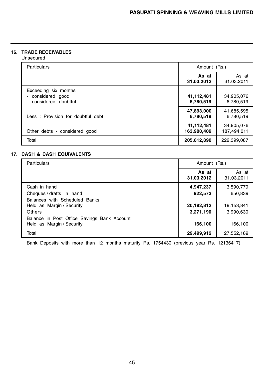## **16. TRADE RECEIVABLES**

Unsecured

| <b>Particulars</b>                                                               | Amount (Rs.)              |                           |
|----------------------------------------------------------------------------------|---------------------------|---------------------------|
|                                                                                  | As at<br>31.03.2012       | As at<br>31.03.2011       |
| Exceeding six months<br>considered good<br>$\blacksquare$<br>considered doubtful | 41,112,481<br>6,780,519   | 34,905,076<br>6,780,519   |
| Less: Provision for doubtful debt                                                | 47,893,000<br>6,780,519   | 41,685,595<br>6,780,519   |
| Other debts - considered good                                                    | 41,112,481<br>163,900,409 | 34,905,076<br>187,494,011 |
| Total                                                                            | 205,012,890               | 222,399,087               |

### **17. CASH & CASH EQUIVALENTS**

| <b>Particulars</b>                                                       | Amount (Rs.)        |                     |
|--------------------------------------------------------------------------|---------------------|---------------------|
|                                                                          | As at<br>31.03.2012 | As at<br>31.03.2011 |
| Cash in hand                                                             | 4,947,237           | 3,590,779           |
| Cheques/drafts in hand                                                   | 922,573             | 650,839             |
| Balances with Scheduled Banks<br>Held as Margin / Security               | 20,192,812          | 19,153,841          |
| Others                                                                   | 3,271,190           | 3,990,630           |
| Balance in Post Office Savings Bank Account<br>Held as Margin / Security | 166,100             | 166,100             |
| Total                                                                    | 29,499,912          | 27,552,189          |

Bank Deposits with more than 12 months maturity Rs. 1754430 (previous year Rs. 12136417)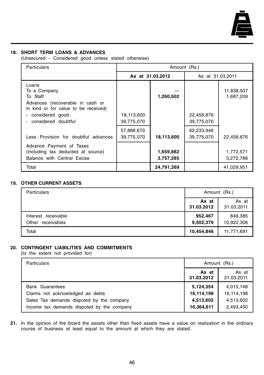

#### **18. SHORT TERM LOANS & ADVANCES**

(Unsecured - Considered good unless stated otherwise)

| <b>Particulars</b>                                                                            | Amount (Rs.)             |                        |                          |                         |  |
|-----------------------------------------------------------------------------------------------|--------------------------|------------------------|--------------------------|-------------------------|--|
|                                                                                               |                          | As at 31.03.2012       | As at 31.03.2011         |                         |  |
| Loans<br>To a Company<br>To Staff<br>Advances (recoverable in cash or                         |                          | 1,260,502              |                          | 11,838,507<br>1,687,209 |  |
| in kind or for value to be received)<br>considered good<br>considered doubtful                | 18,113,600<br>39,775,070 |                        | 22,458,876<br>39,775,070 |                         |  |
| Less: Provision for doubtful advances                                                         | 57,888,670<br>39,775,070 | 18,113,600             | 62,233,946<br>39,775,070 | 22,458,876              |  |
| Advance Payment of Taxes<br>(including tax deducted at source)<br>Balance with Central Excise |                          | 1,659,882<br>3,757,285 |                          | 1,772,571<br>3,272,788  |  |
| Total                                                                                         |                          | 24,791,269             |                          | 41,029,951              |  |

#### **19. OTHER CURRENT ASSETS**

| <b>Particulars</b>                          | Amount (Rs.)         |                       |
|---------------------------------------------|----------------------|-----------------------|
|                                             | As at<br>31.03.2012  | As at<br>31.03.2011   |
| Interest receivable<br>receivables<br>Other | 952,467<br>9,502,379 | 849,385<br>10,922,306 |
| Total                                       | 10,454,846           | 11,771,691            |

## **20. CONTINGENT LIABILITIES AND COMMITMENTS**

(to the extent not provided for)

| <b>Particulars</b>                         | Amount (Rs.)        |                     |
|--------------------------------------------|---------------------|---------------------|
|                                            | As at<br>31.03.2012 | As at<br>31.03.2011 |
| <b>Bank Guarantees</b>                     | 5,124,354           | 4,015,148           |
| Claims not acknowledged as debts           | 16,114,198          | 16,114,198          |
| Sales Tax demands disputed by the company  | 4,513,602           | 4,513,602           |
| Income tax demands disputed by the company | 16,364,611          | 2,493,450           |

**21.** In the opinion of the board the assets other than fixed assets have a value on realization in the ordinary course of business at least equal to the amount at which they are stated.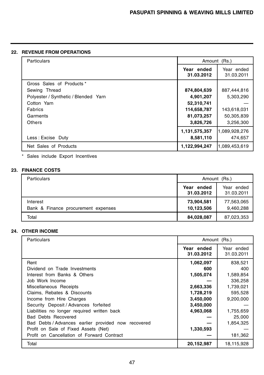## **22. REVENUE FROM OPERATIONS**

| Particulars                          | Amount (Rs.)  |               |
|--------------------------------------|---------------|---------------|
|                                      | Year ended    | Year ended    |
|                                      | 31.03.2012    | 31.03.2011    |
| Gross Sales of Products *            |               |               |
| Sewing Thread                        | 874,804,639   | 887,444,816   |
| Polyester / Synthetic / Blended Yarn | 4,901,207     | 5,303,290     |
| Cotton Yarn                          | 52,310,741    |               |
| Fabrics                              | 114,658,787   | 143,618,031   |
| Garments                             | 81,073,257    | 50,305,839    |
| Others                               | 3,826,726     | 3,256,300     |
|                                      | 1,131,575,357 | 1,089,928,276 |
| Less: Excise Duty                    | 8,581,110     | 474,657       |
| Net Sales of Products                | 1,122,994,247 | 1,089,453,619 |

\* Sales include Export Incentives

## **23. FINANCE COSTS**

| <b>Particulars</b>                              | Amount (Rs.)                                         |                         |
|-------------------------------------------------|------------------------------------------------------|-------------------------|
|                                                 | Year ended<br>Year ended<br>31.03.2012<br>31.03.2011 |                         |
| Interest<br>Bank & Finance procurement expenses | 73,904,581<br>10,123,506                             | 77,563,065<br>9,460,288 |
| Total                                           | 84,028,087                                           | 87,023,353              |

## **24. OTHER INCOME**

| Particulars                                         | Amount (Rs.)             |                          |
|-----------------------------------------------------|--------------------------|--------------------------|
|                                                     | Year ended<br>31.03.2012 | Year ended<br>31.03.2011 |
| Rent                                                | 1,062,097                | 838,521                  |
| Dividend on Trade Investments                       | 600                      | 400                      |
| Interest from Banks & Others                        | 1,505,074                | 1,589,854                |
| Job Work Income                                     |                          | 336,258                  |
| Miscellaneous Receipts                              | 2,663,336                | 1,739,021                |
| Claims, Rebates & Discounts                         | 1,728,219                | 595,528                  |
| Income from Hire Charges                            | 3,450,000                | 9,200,000                |
| Security Deposit / Advances forfeited               | 3,450,000                |                          |
| Liabilities no longer required written back         | 4,963,068                | 1,755,659                |
| <b>Bad Debts Recovered</b>                          |                          | 25,000                   |
| Bad Debts / Advances earlier provided now recovered |                          | 1,854,325                |
| Profit on Sale of Fixed Assets (Net)                | 1,330,593                |                          |
| Profit on Cancellation of Forward Contract          |                          | 181,362                  |
| Total                                               | 20,152,987               | 18,115,928               |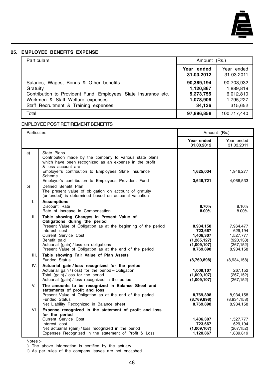

#### **25. EMPLOYEE BENEFITS EXPENSE**

| <b>Particulars</b>                                                                                                                                                                                  | Amount (Rs.)                                                |                                                              |
|-----------------------------------------------------------------------------------------------------------------------------------------------------------------------------------------------------|-------------------------------------------------------------|--------------------------------------------------------------|
|                                                                                                                                                                                                     | Year ended<br>31.03.2012                                    | Year ended<br>31.03.2011                                     |
| Salaries, Wages, Bonus & Other benefits<br>Gratuity<br>Contribution to Provident Fund, Employees' State Insurance etc.<br>Workmen & Staff Welfare expenses<br>Staff Recruitment & Training expenses | 90,389,194<br>1,120,867<br>5,273,755<br>1,078,906<br>34.136 | 90,703,932<br>1,889,819<br>6,012,810<br>1,795,227<br>315.652 |
| Total                                                                                                                                                                                               | 97,896,858                                                  | 100,717,440                                                  |

#### EMPLOYEE POST RETIREMENT BENEFITS

| Particulars |                                                                                                                                                                                                                                                                                                           | Amount (Rs.)                                                                   |                                                                            |
|-------------|-----------------------------------------------------------------------------------------------------------------------------------------------------------------------------------------------------------------------------------------------------------------------------------------------------------|--------------------------------------------------------------------------------|----------------------------------------------------------------------------|
|             |                                                                                                                                                                                                                                                                                                           | Year ended<br>31.03.2012                                                       | Year ended<br>31.03.2011                                                   |
| a)          | State Plans<br>Contribution made by the company to various state plans<br>which have been recognized as an expense in the profit<br>& loss account are                                                                                                                                                    |                                                                                |                                                                            |
|             | Employer's contribution to Employees State Insurance<br>Scheme                                                                                                                                                                                                                                            | 1,625,034                                                                      | 1,946,277                                                                  |
| b)          | Employer's contribution to Employees Provident Fund<br>Defined Benefit Plan<br>The present value of obligation on account of gratuity<br>(unfunded) is determined based on actuarial valuation                                                                                                            | 3,648,721                                                                      | 4,066,533                                                                  |
| I.          | <b>Assumptions</b><br>Discount Rate<br>Rate of increase in Compensation                                                                                                                                                                                                                                   | 8.70%<br>8.00%                                                                 | 8.10%<br>8.00%                                                             |
| Н.          | Table showing Changes in Present Value of<br>Obligations during the period<br>Present Value of Obligation as at the beginning of the period<br>Interest cost<br>Current Service Cost<br>Benefit paid<br>Actuarial (gain) / loss on obligations<br>Present Value of Obligation as at the end of the period | 8,934,158<br>723,667<br>1,406,307<br>(1, 285, 127)<br>(1,009,107)<br>8,769,898 | 7,964,477<br>629,194<br>1,527,777<br>(920, 138)<br>(267, 152)<br>8,934,158 |
| Ш.          | Table showing Fair Value of Plan Assets<br><b>Funded Status</b>                                                                                                                                                                                                                                           | (8,769,898)                                                                    | (8,934,158)                                                                |
| IV.         | Actuarial gain / loss recognized for the period<br>Actuarial gain / (loss) for the period - Obligation<br>Total (gain) / loss for the period<br>Actuarial (gain) / loss recognized in the period                                                                                                          | 1,009,107<br>(1,009,107)<br>(1,009,107)                                        | 267,152<br>(267, 152)<br>(267, 152)                                        |
| V.          | The amounts to be recognized in Balance Sheet and<br>statements of profit and loss<br>Present Value of Obligation as at the end of the period<br><b>Funded Status</b><br>Net Liability Recognized in Balance sheet                                                                                        | 8,769,898<br>(8,769,898)<br>8,769,898                                          | 8,934,158<br>(8,934,158)<br>8,934,158                                      |
| VI.         | Expense recognized in the statement of profit and loss<br>for the period<br>Current Service Cost<br>Interest cost<br>Net actuarial (gain) / loss recognized in the period<br>Expenses Recognized in the statement of Profit & Loss                                                                        | 1,406,307<br>723,667<br>(1,009,107)<br>1,120,867                               | 1,527,777<br>629,194<br>(267, 152)<br>1,889,819                            |

Notes :-

i) The above information is certified by the actuary

ii) As per rules of the company leaves are not encashed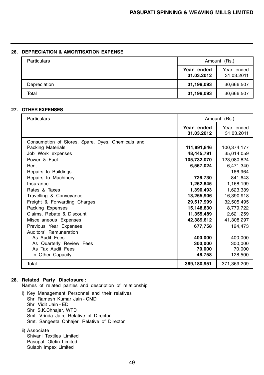#### **26. DEPRECIATION & AMORTISATION EXPENSE**

| <b>Particulars</b> | Amount (Rs.)                |                          |
|--------------------|-----------------------------|--------------------------|
|                    | ended<br>Year<br>31.03.2012 | Year ended<br>31.03.2011 |
| Depreciation       | 31,199,093                  | 30,666,507               |
| Total              | 31,199,093                  | 30,666,507               |

#### **27. OTHER EXPENSES**

| Particulars                                       | Amount (Rs.)             |                          |
|---------------------------------------------------|--------------------------|--------------------------|
|                                                   | Year ended<br>31.03.2012 | Year ended<br>31.03.2011 |
| Consumption of Stores, Spare, Dyes, Chemicals and |                          |                          |
| Packing Materials                                 | 111,891,846              | 100,374,177              |
| Job Work expenses                                 | 48,445,791               | 35,014,059               |
| Power & Fuel                                      | 105,732,070              | 123,080,824              |
| Rent                                              | 6,567,024                | 6,471,340                |
| Repairs to Buildings                              |                          | 166,964                  |
| Repairs to Machinery                              | 726,730                  | 841,643                  |
| Insurance                                         | 1,262,645                | 1,168,199                |
| Rates & Taxes                                     | 1,390,493                | 1,623,339                |
| Travelling & Conveyance                           | 13,255,906               | 16,390,918               |
| Freight & Forwarding Charges                      | 29,517,999               | 32,505,495               |
| Packing Expenses                                  | 15,148,830               | 8,779,722                |
| Claims, Rebate & Discount                         | 11,355,489               | 2,621,259                |
| Miscellaneous Expenses                            | 42,389,612               | 41,308,297               |
| Previous Year Expenses                            | 677,758                  | 124,473                  |
| Auditors' Remuneration                            |                          |                          |
| As Audit Fees                                     | 400,000                  | 400,000                  |
| As Quarterly Review Fees                          | 300,000                  | 300,000                  |
| As Tax Audit Fees                                 | 70,000                   | 70,000                   |
| In Other Capacity                                 | 48,758                   | 128,500                  |
| Total                                             | 389,180,951              | 371,369,209              |

#### **28. Related Party Disclosure :**

Names of related parties and description of relationship

i) Key Management Personnel and their relatives Shri Ramesh Kumar Jain - CMD Shri Vidit Jain - ED Shri S.K.Chhajer, WTD Smt. Vrinda Jain, Relative of Director Smt. Sangeeta Chhajer, Relative of Director

#### ii) Associate

Shivani Textiles Limited Pasupati Olefin Limited Sulabh Impex Limited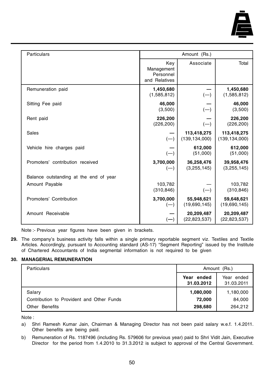

| Particulars                            | Amount (Rs.)                                    |                                |                                |
|----------------------------------------|-------------------------------------------------|--------------------------------|--------------------------------|
|                                        | Key<br>Management<br>Personnel<br>and Relatives | Associate                      | Total                          |
| Remuneration paid                      | 1,450,680<br>(1,585,812)                        | $(-)$                          | 1,450,680<br>(1,585,812)       |
| Sitting Fee paid                       | 46,000<br>(3,500)                               | $(-)$                          | 46.000<br>(3,500)              |
| Rent paid                              | 226,200<br>(226, 200)                           | $(-)$                          | 226,200<br>(226, 200)          |
| Sales                                  | $(-)$                                           | 113,418,275<br>(139, 134, 000) | 113,418,275<br>(139, 134, 000) |
| Vehicle hire charges paid              | $(-)$                                           | 612,000<br>(51,000)            | 612,000<br>(51,000)            |
| Promoters' contribution received       | 3,700,000<br>$(-$                               | 36,258,476<br>(3, 255, 145)    | 39,958,476<br>(3, 255, 145)    |
| Balance outstanding at the end of year |                                                 |                                |                                |
| Amount Payable                         | 103,782<br>(310, 846)                           | $(-)$                          | 103,782<br>(310, 846)          |
| Promoters' Contribution                | 3,700,000<br>$(-)$                              | 55,948,621<br>(19,690,145)     | 59,648,621<br>(19,690,145)     |
| Amount Receivable                      | $(-)$                                           | 20,209,487<br>(22, 823, 537)   | 20,209,487<br>(22, 823, 537)   |

Note :- Previous year figures have been given in brackets.

**29.** The company's business activity falls within a single primary reportable segment viz. Textiles and Textile Articles. Accordingly, pursuant to Accounting standard (AS-17) "Segment Reporting" issued by the Institute of Chartered Accountants of India segmental information is not required to be given

#### **30. MANAGERIAL REMUNERATION**

| Particulars                               | Amount (Rs.)             |                          |
|-------------------------------------------|--------------------------|--------------------------|
|                                           | Year ended<br>31.03.2012 | Year ended<br>31.03.2011 |
| Salary                                    | 1,080,000                | 1,180,000                |
| Contribution to Provident and Other Funds | 72,000                   | 84,000                   |
| <b>Benefits</b><br>Other                  | 298,680                  | 264,212                  |

Note :

- a) Shri Ramesh Kumar Jain, Chairman & Managing Director has not been paid salary w.e.f. 1.4.2011. Other benefits are being paid.
- b) Remuneration of Rs. 1187496 (including Rs. 579606 for previous year) paid to Shri Vidit Jain, Executive Director for the period from 1.4.2010 to 31.3.2012 is subject to approval of the Central Government.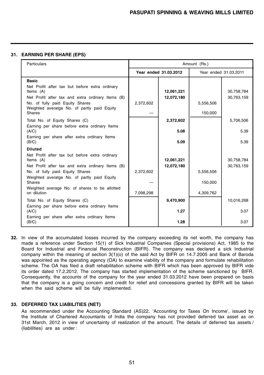#### **31. EARNING PER SHARE (EPS)**

| <b>Particulars</b>                                                                                                                                                                                                                    | Amount (Rs.) |                          |                      |                          |
|---------------------------------------------------------------------------------------------------------------------------------------------------------------------------------------------------------------------------------------|--------------|--------------------------|----------------------|--------------------------|
|                                                                                                                                                                                                                                       |              | Year ended 31.03.2012    |                      | Year ended 31,03,2011    |
| <b>Basic</b><br>Net Profit after tax but before extra ordinary<br>Items (A)<br>Net Profit after tax and extra ordinary Items (B)<br>No. of fully paid Equity Shares<br>Weighted averatge No. of partly paid Equity<br>Shares          | 2,372,602    | 12,061,221<br>12,072,180 | 5,556,506<br>150,000 | 30,758,784<br>30,763,159 |
| Total No. of Equity Shares (C)<br>Earning per share before extra ordinary Items                                                                                                                                                       |              | 2,372,602                |                      | 5,706,506                |
| (A/C)                                                                                                                                                                                                                                 |              | 5.08                     |                      | 5.39                     |
| Earning per share after extra ordinary Items<br>(B/C)                                                                                                                                                                                 |              | 5.09                     |                      | 5.39                     |
| <b>Diluted</b><br>Net Profit after tax but before extra ordinary<br>Items (A)<br>Net Profit after tax and extra ordinary Items (B)<br>No. of fully paid Equity Shares<br>Weighted averatge No. of partly paid Equity<br><b>Shares</b> | 2,372,602    | 12,061,221<br>12,072,180 | 5,556,506<br>150,000 | 30,758,784<br>30,763,159 |
| Weighted average No. of shares to be allotted<br>on dilution                                                                                                                                                                          | 7,098,298    |                          | 4,309,762            |                          |
| Total No. of Equity Shares (C)                                                                                                                                                                                                        |              | 9,470,900                |                      | 10,016,268               |
| Earning per share before extra ordinary Items<br>(A/C)                                                                                                                                                                                |              | 1.27                     |                      | 3.07                     |
| Earning per share after extra ordinary Items<br>(B/C)                                                                                                                                                                                 |              | 1.28                     |                      | 3.07                     |

**32.** In view of the accumulated losses incurred by the company exceeding its net worth, the company has made a reference under Section 15(1) of Sick Industrial Companies (Special provisions) Act, 1985 to the Board for Industrial and Financial Reconstruction (BIFR). The company was declared a sick Industrial company within the meaning of section 3(1)(o) of the said Act by BIFR on 14.7.2005 and Bank of Baroda was appointed as the operating agency (OA) to examine viability of the company and formulate rehabilitation scheme. The OA has filed a draft rehabilitation scheme with BIFR which has been approved by BIFR vide its order dated 17.2.2012. The company has started implementation of the scheme sanctioned by BIFR. Consequently, the accounts of the company for the year ended 31.03.2012 have been prepared on basis that the company is a going concern and credit for relief and concessions granted by BIFR will be taken when the said scheme will be fully implemented.

#### **33. DEFERRED TAX LIABILITIES (NET)**

As recommended under the Accounting Standard (AS)22, 'Accounting for Taxes On Income', issued by the Institute of Chartered Accountants of India the company has not provided deferred tax asset as on 31st March, 2012 in view of uncertainty of realization of the amount. The details of deferred tax assets / (liabilities) are as under :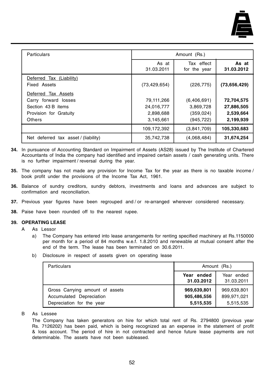

| Particulars                                                                    | Amount (Rs.)                                       |                                                      |                                                    |
|--------------------------------------------------------------------------------|----------------------------------------------------|------------------------------------------------------|----------------------------------------------------|
|                                                                                | As at<br>31.03.2011                                | Tax effect<br>for the year                           | As at<br>31.03.2012                                |
| Deferred Tax (Liability)<br>Fixed Assets<br>Tax Assets<br>Deferred             | (73, 429, 654)                                     | (226, 775)                                           | (73, 656, 429)                                     |
| Carry forward losses<br>Section 43 B items<br>Provision for Gratuity<br>Others | 79,111,266<br>24,016,777<br>2,898,688<br>3,145,661 | (6,406,691)<br>3,869,728<br>(359, 024)<br>(945, 722) | 72,704,575<br>27,886,505<br>2,539,664<br>2,199,939 |
|                                                                                | 109,172,392                                        | (3,841,709)                                          | 105,330,683                                        |
| Net deferred tax asset / (liability)                                           | 35,742,738                                         | (4,068,484)                                          | 31,674,254                                         |

- **34.** In pursuance of Accounting Standard on Impairment of Assets (AS28) issued by The Institute of Chartered Accountants of India the company had identified and impaired certain assets / cash generating units. There is no further impairment / reversal during the year.
- **35.** The company has not made any provision for Income Tax for the year as there is no taxable income / book profit under the provisions of the Income Tax Act, 1961.
- **36.** Balance of sundry creditors, sundry debtors, investments and loans and advances are subject to confirmation and reconciliation.
- **37.** Previous year figures have been regrouped and / or re-arranged wherever considered necessary.
- **38.** Paise have been rounded off to the nearest rupee.

#### **39. OPERATING LEASE**

- A As Lessor
	- a) The Company has entered into lease arrangements for renting specified machinery at Rs.1150000 per month for a period of 84 months w.e.f. 1.8.2010 and renewable at mutual consent after the end of the term. The lease has been terminated on 30.6.2011.
	- b) Disclosure in respect of assets given on operating lease

| <b>Particulars</b>                                                                       | Amount (Rs.)                            |                                         |  |
|------------------------------------------------------------------------------------------|-----------------------------------------|-----------------------------------------|--|
|                                                                                          | Year ended<br>31.03.2012                | Year ended<br>31.03.2011                |  |
| Gross Carrying amount of assets<br>Accumulated Depreciation<br>Depreciation for the year | 969,639,801<br>905,486,556<br>5,515,535 | 969,639,801<br>899,971,021<br>5,515,535 |  |

#### B As Lessee

The Company has taken generators on hire for which total rent of Rs. 2794800 (previous year Rs. 7126202) has been paid, which is being recognized as an expense in the statement of profit & loss account. The period of hire in not contracted and hence future lease payments are not determinable. The assets have not been subleased.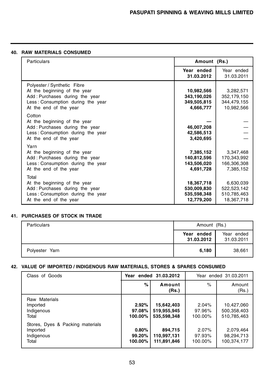## **40. RAW MATERIALS CONSUMED**

| Particulars                                                                                                                                                  | Amount (Rs.)                                           |                                                       |
|--------------------------------------------------------------------------------------------------------------------------------------------------------------|--------------------------------------------------------|-------------------------------------------------------|
|                                                                                                                                                              | Year ended<br>31.03.2012                               | Year ended<br>31.03.2011                              |
| Polyester / Synthetic Fibre<br>At the beginning of the year<br>Add: Purchases during the year<br>Less: Consumption during the year<br>At the end of the year | 10,982,566<br>343,190,026<br>349,505,815<br>4,666,777  | 3,282,571<br>352,179,150<br>344,479,155<br>10,982,566 |
| Cotton<br>At the beginning of the year<br>Add: Purchases during the year<br>Less: Consumption during the year<br>At the end of the year                      | 46,007,208<br>42,586,513<br>3,420,695                  |                                                       |
| Yarn<br>At the beginning of the year<br>Add: Purchases during the year<br>Less: Consumption during the year<br>At the end of the year                        | 7,385,152<br>140,812,596<br>143,506,020<br>4,691,728   | 3,347,468<br>170,343,992<br>166,306,308<br>7,385,152  |
| Total<br>At the beginning of the year<br>Add: Purchases during the year<br>Less: Consumption during the year<br>At the end of the year                       | 18,367,718<br>530,009,830<br>535,598,348<br>12,779,200 | 6,630,039<br>522,523,142<br>510,785,463<br>18,367,718 |

## **41. PURCHASES OF STOCK IN TRADE**

| Particulars    | Amount (Rs.)             |                          |
|----------------|--------------------------|--------------------------|
|                | Year ended<br>31.03.2012 | Year ended<br>31.03.2011 |
| Polyester Yarn | 6,180                    | 38,661                   |

## **42. VALUE OF IMPORTED / INDIGENOUS RAW MATERIALS, STORES & SPARES CONSUMED**

| Class of Goods                                                      | Year ended 31.03.2012      |                                          |                            | Year ended 31,03,2011                    |
|---------------------------------------------------------------------|----------------------------|------------------------------------------|----------------------------|------------------------------------------|
|                                                                     | %                          | Amount<br>(Rs.)                          | $\%$                       | Amount<br>(Rs.)                          |
| Raw Materials<br>Imported<br>Indigenous<br>Total                    | 2.92%<br>97.08%<br>100.00% | 15,642,403<br>519,955,945<br>535.598.348 | 2.04%<br>97.96%<br>100.00% | 10,427,060<br>500,358,403<br>510,785,463 |
| Stores, Dyes & Packing materials<br>Imported<br>Indigenous<br>Total | 0.80%<br>99.20%<br>100.00% | 894.715<br>110,997,131<br>111,891,846    | 2.07%<br>97.93%<br>100.00% | 2.079.464<br>98,294,713<br>100,374,177   |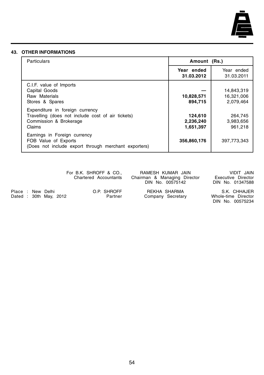

#### **43. OTHER INFORMATIONS**

| Particulars                                                                                                              | Amount (Rs.)                      |                                       |
|--------------------------------------------------------------------------------------------------------------------------|-----------------------------------|---------------------------------------|
|                                                                                                                          | Year ended<br>31.03.2012          | Year ended<br>31.03.2011              |
| C.I.F. value of Imports<br>Capital Goods<br>Raw Materials<br>Stores & Spares                                             | 10,828,571<br>894,715             | 14,843,319<br>16,321,006<br>2,079,464 |
| Expenditure in foreign currency<br>Travelling (does not include cost of air tickets)<br>Commission & Brokerage<br>Claims | 124,610<br>2,236,240<br>1,651,397 | 264,745<br>3,983,656<br>961.218       |
| Earnings in Foreign currency<br>FOB Value of Exports<br>(Does not include export through merchant exporters)             | 356,860,176                       | 397.773.343                           |

For B.K. SHROFF & CO., AMESH KUMAR JAIN VIDIT JAIN Chartered Accountants Chairman & Managing Director Executive Director Chartered Accountants Chairman & Managing Director Executive Director DIN No. 00575142 DIN No. 01347588

Place : New Delhi O.P. SHROFF REKHA SHARMA S.K. CHHAJER Dated : 30th May, 2012

DIN No. 00575234